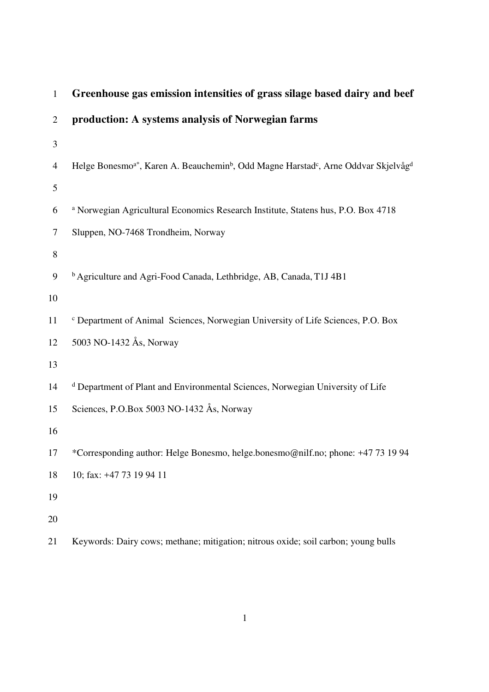|                | Greenhouse gas emission intensities or grass snage based dan y and beer                                                             |
|----------------|-------------------------------------------------------------------------------------------------------------------------------------|
| $\overline{2}$ | production: A systems analysis of Norwegian farms                                                                                   |
| 3              |                                                                                                                                     |
| $\overline{4}$ | Helge Bonesmo <sup>a*</sup> , Karen A. Beauchemin <sup>b</sup> , Odd Magne Harstad <sup>c</sup> , Arne Oddvar Skjelvåg <sup>d</sup> |
| 5              |                                                                                                                                     |
| 6              | <sup>a</sup> Norwegian Agricultural Economics Research Institute, Statens hus, P.O. Box 4718                                        |
| $\tau$         | Sluppen, NO-7468 Trondheim, Norway                                                                                                  |
| $8\,$          |                                                                                                                                     |
| 9              | <sup>b</sup> Agriculture and Agri-Food Canada, Lethbridge, AB, Canada, T1J 4B1                                                      |
| 10             |                                                                                                                                     |
| 11             | <sup>c</sup> Department of Animal Sciences, Norwegian University of Life Sciences, P.O. Box                                         |
| 12             | 5003 NO-1432 Ås, Norway                                                                                                             |
| 13             |                                                                                                                                     |
| 14             | <sup>d</sup> Department of Plant and Environmental Sciences, Norwegian University of Life                                           |
| 15             | Sciences, P.O.Box 5003 NO-1432 Ås, Norway                                                                                           |
| 16             |                                                                                                                                     |
| 17             | *Corresponding author: Helge Bonesmo, helge.bonesmo@nilf.no; phone: +47 73 19 94                                                    |
| 18             | 10; fax: +47 73 19 94 11                                                                                                            |
| 19             |                                                                                                                                     |
| 20             |                                                                                                                                     |
| 21             | Keywords: Dairy cows; methane; mitigation; nitrous oxide; soil carbon; young bulls                                                  |

1 **Greenhouse gas emission intensities of grass silage based dairy and beef**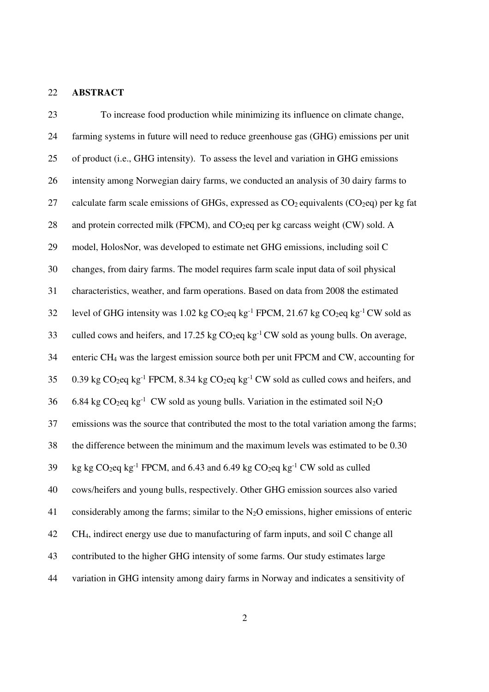### 22 **ABSTRACT**

23 To increase food production while minimizing its influence on climate change, 24 farming systems in future will need to reduce greenhouse gas (GHG) emissions per unit 25 of product (i.e., GHG intensity). To assess the level and variation in GHG emissions 26 intensity among Norwegian dairy farms, we conducted an analysis of 30 dairy farms to 27 calculate farm scale emissions of GHGs, expressed as  $CO<sub>2</sub>$  equivalents ( $CO<sub>2</sub>$ eq) per kg fat 28 and protein corrected milk (FPCM), and  $CO<sub>2</sub>$ eq per kg carcass weight (CW) sold. A 29 model, HolosNor, was developed to estimate net GHG emissions, including soil C 30 changes, from dairy farms. The model requires farm scale input data of soil physical 31 characteristics, weather, and farm operations. Based on data from 2008 the estimated 32 level of GHG intensity was 1.02 kg  $CO_2$ eq kg<sup>-1</sup> FPCM, 21.67 kg  $CO_2$ eq kg<sup>-1</sup> CW sold as 33 culled cows and heifers, and 17.25 kg  $CO_2$ eq kg<sup>-1</sup> CW sold as young bulls. On average, 34 enteric CH4 was the largest emission source both per unit FPCM and CW, accounting for 35 0.39 kg  $CO_2$ eq kg<sup>-1</sup> FPCM, 8.34 kg  $CO_2$ eq kg<sup>-1</sup> CW sold as culled cows and heifers, and 6.84 kg CO<sub>2</sub>eq kg<sup>-1</sup> CW sold as young bulls. Variation in the estimated soil N<sub>2</sub>O 37 emissions was the source that contributed the most to the total variation among the farms; 38 the difference between the minimum and the maximum levels was estimated to be 0.30 39 kg kg CO<sub>2</sub>eq kg<sup>-1</sup> FPCM, and 6.43 and 6.49 kg CO<sub>2</sub>eq kg<sup>-1</sup> CW sold as culled 40 cows/heifers and young bulls, respectively. Other GHG emission sources also varied 41 considerably among the farms; similar to the  $N_2O$  emissions, higher emissions of enteric 42 CH4, indirect energy use due to manufacturing of farm inputs, and soil C change all 43 contributed to the higher GHG intensity of some farms. Our study estimates large 44 variation in GHG intensity among dairy farms in Norway and indicates a sensitivity of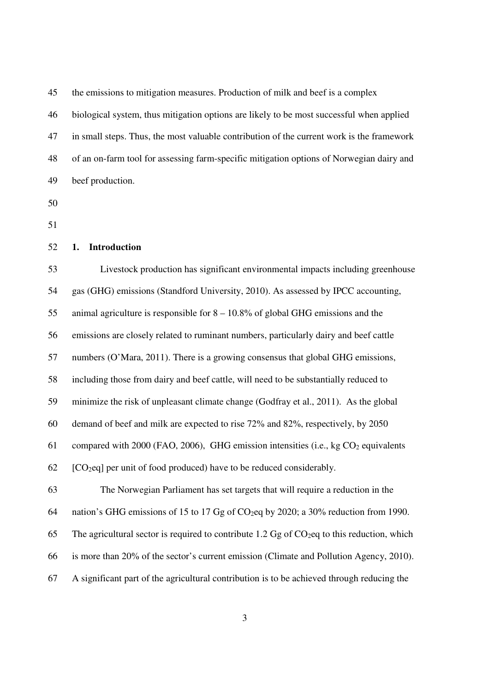| 45 | the emissions to mitigation measures. Production of milk and beef is a complex            |
|----|-------------------------------------------------------------------------------------------|
| 46 | biological system, thus mitigation options are likely to be most successful when applied  |
| 47 | in small steps. Thus, the most valuable contribution of the current work is the framework |
| 48 | of an on-farm tool for assessing farm-specific mitigation options of Norwegian dairy and  |
| 49 | beef production.                                                                          |

- 50
- 51

### 52 **1. Introduction**

53 Livestock production has significant environmental impacts including greenhouse 54 gas (GHG) emissions (Standford University, 2010). As assessed by IPCC accounting, 55 animal agriculture is responsible for 8 – 10.8% of global GHG emissions and the 56 emissions are closely related to ruminant numbers, particularly dairy and beef cattle 57 numbers (O'Mara, 2011). There is a growing consensus that global GHG emissions, 58 including those from dairy and beef cattle, will need to be substantially reduced to 59 minimize the risk of unpleasant climate change (Godfray et al., 2011). As the global 60 demand of beef and milk are expected to rise 72% and 82%, respectively, by 2050 61 compared with 2000 (FAO, 2006), GHG emission intensities (i.e., kg CO2 equivalents  $62$  [CO<sub>2</sub>eq] per unit of food produced) have to be reduced considerably. 63 The Norwegian Parliament has set targets that will require a reduction in the 64 nation's GHG emissions of 15 to 17 Gg of CO2eq by 2020; a 30% reduction from 1990. 65 The agricultural sector is required to contribute 1.2 Gg of  $CO<sub>2</sub>$ eq to this reduction, which 66 is more than 20% of the sector's current emission (Climate and Pollution Agency, 2010). 67 A significant part of the agricultural contribution is to be achieved through reducing the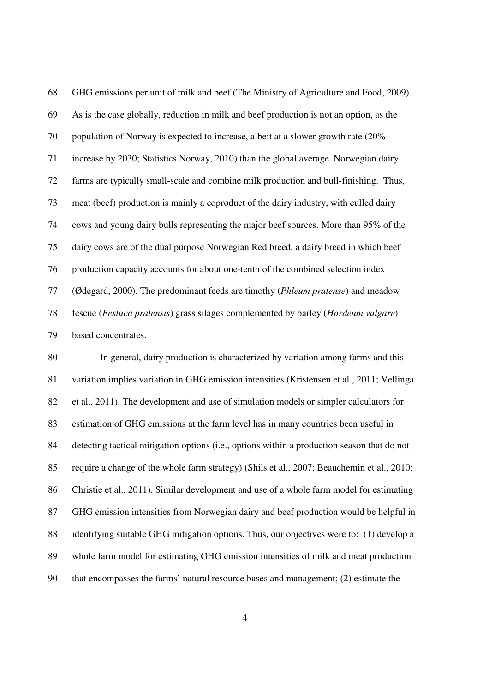68 GHG emissions per unit of milk and beef (The Ministry of Agriculture and Food, 2009). 69 As is the case globally, reduction in milk and beef production is not an option, as the 70 population of Norway is expected to increase, albeit at a slower growth rate (20% 71 increase by 2030; Statistics Norway, 2010) than the global average. Norwegian dairy 72 farms are typically small-scale and combine milk production and bull-finishing. Thus, 73 meat (beef) production is mainly a coproduct of the dairy industry, with culled dairy 74 cows and young dairy bulls representing the major beef sources. More than 95% of the 75 dairy cows are of the dual purpose Norwegian Red breed, a dairy breed in which beef 76 production capacity accounts for about one-tenth of the combined selection index 77 (Ødegard, 2000). The predominant feeds are timothy (*Phleum pratense*) and meadow 78 fescue (*Festuca pratensis*) grass silages complemented by barley (*Hordeum vulgare*) 79 based concentrates.

80 In general, dairy production is characterized by variation among farms and this 81 variation implies variation in GHG emission intensities (Kristensen et al., 2011; Vellinga 82 et al., 2011). The development and use of simulation models or simpler calculators for 83 estimation of GHG emissions at the farm level has in many countries been useful in 84 detecting tactical mitigation options (i.e., options within a production season that do not 85 require a change of the whole farm strategy) (Shils et al., 2007; Beauchemin et al., 2010; 86 Christie et al., 2011). Similar development and use of a whole farm model for estimating 87 GHG emission intensities from Norwegian dairy and beef production would be helpful in 88 identifying suitable GHG mitigation options. Thus, our objectives were to: (1) develop a 89 whole farm model for estimating GHG emission intensities of milk and meat production 90 that encompasses the farms' natural resource bases and management; (2) estimate the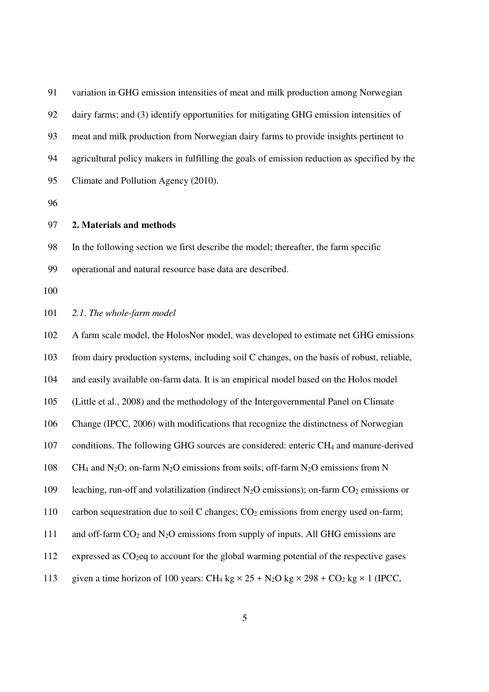| 91 | variation in GHG emission intensities of meat and milk production among Norwegian            |
|----|----------------------------------------------------------------------------------------------|
| 92 | dairy farms; and (3) identify opportunities for mitigating GHG emission intensities of       |
| 93 | meat and milk production from Norwegian dairy farms to provide insights pertinent to         |
| 94 | agricultural policy makers in fulfilling the goals of emission reduction as specified by the |
| 95 | Climate and Pollution Agency (2010).                                                         |
|    |                                                                                              |

#### 97 **2. Materials and methods**

98 In the following section we first describe the model; thereafter, the farm specific

99 operational and natural resource base data are described.

100

101 *2.1. The whole-farm model* 

102 A farm scale model, the HolosNor model, was developed to estimate net GHG emissions 103 from dairy production systems, including soil C changes, on the basis of robust, reliable, 104 and easily available on-farm data. It is an empirical model based on the Holos model 105 (Little et al., 2008) and the methodology of the Intergovernmental Panel on Climate 106 Change (IPCC, 2006) with modifications that recognize the distinctness of Norwegian 107 conditions. The following GHG sources are considered: enteric CH4 and manure-derived 108 CH<sub>4</sub> and N<sub>2</sub>O; on-farm N<sub>2</sub>O emissions from soils; off-farm N<sub>2</sub>O emissions from N 109 leaching, run-off and volatilization (indirect  $N_2O$  emissions); on-farm  $CO_2$  emissions or 110 carbon sequestration due to soil C changes;  $CO<sub>2</sub>$  emissions from energy used on-farm; 111 and off-farm CO<sub>2</sub> and N<sub>2</sub>O emissions from supply of inputs. All GHG emissions are 112 expressed as CO<sub>2</sub>eq to account for the global warming potential of the respective gases 113 given a time horizon of 100 years: CH<sub>4</sub> kg  $\times$  25 + N<sub>2</sub>O kg  $\times$  298 + CO<sub>2</sub> kg  $\times$  1 (IPCC,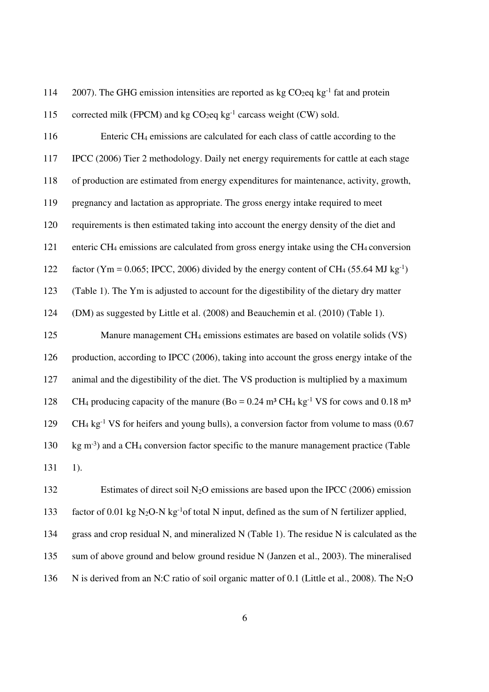114 2007). The GHG emission intensities are reported as  $kg \text{ }CO_2$ eq kg<sup>-1</sup> fat and protein

115 corrected milk (FPCM) and kg  $CO<sub>2</sub>$ eq kg<sup>-1</sup> carcass weight (CW) sold. 116 Enteric CH4 emissions are calculated for each class of cattle according to the 117 IPCC (2006) Tier 2 methodology. Daily net energy requirements for cattle at each stage 118 of production are estimated from energy expenditures for maintenance, activity, growth, 119 pregnancy and lactation as appropriate. The gross energy intake required to meet 120 requirements is then estimated taking into account the energy density of the diet and 121 enteric CH4 emissions are calculated from gross energy intake using the CH4 conversion factor (Ym = 0.065; IPCC, 2006) divided by the energy content of CH<sub>4</sub> (55.64 MJ kg<sup>-1</sup>) 123 (Table 1). The Ym is adjusted to account for the digestibility of the dietary dry matter 124 (DM) as suggested by Little et al. (2008) and Beauchemin et al. (2010) (Table 1). 125 Manure management CH<sub>4</sub> emissions estimates are based on volatile solids (VS) 126 production, according to IPCC (2006), taking into account the gross energy intake of the 127 animal and the digestibility of the diet. The VS production is multiplied by a maximum 128 CH<sub>4</sub> producing capacity of the manure (Bo =  $0.24 \text{ m}^3 \text{ CH}_4 \text{ kg}^{-1} \text{ VS}$  for cows and  $0.18 \text{ m}^3$ )  $C_1$   $CH_4$  kg<sup>-1</sup> VS for heifers and young bulls), a conversion factor from volume to mass (0.67 130  $\,$  kg m<sup>-3</sup>) and a CH<sub>4</sub> conversion factor specific to the manure management practice (Table 131 1). 132 Estimates of direct soil N<sub>2</sub>O emissions are based upon the IPCC (2006) emission

factor of 0.01 kg N<sub>2</sub>O-N kg<sup>-1</sup> of total N input, defined as the sum of N fertilizer applied, 134 grass and crop residual N, and mineralized N (Table 1). The residue N is calculated as the 135 sum of above ground and below ground residue N (Janzen et al., 2003). The mineralised 136 N is derived from an N:C ratio of soil organic matter of 0.1 (Little et al., 2008). The N<sub>2</sub>O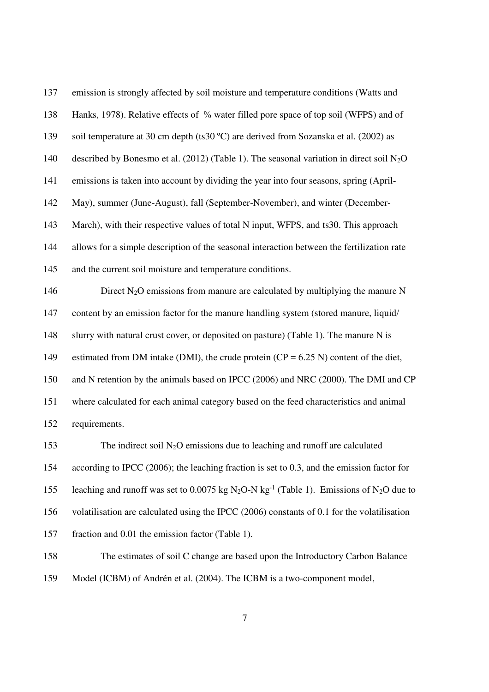137 emission is strongly affected by soil moisture and temperature conditions (Watts and 138 Hanks, 1978). Relative effects of % water filled pore space of top soil (WFPS) and of 139 soil temperature at 30 cm depth (ts30 ºC) are derived from Sozanska et al. (2002) as 140 described by Bonesmo et al. (2012) (Table 1). The seasonal variation in direct soil  $N_2O$ 141 emissions is taken into account by dividing the year into four seasons, spring (April-142 May), summer (June-August), fall (September-November), and winter (December-143 March), with their respective values of total N input, WFPS, and ts30. This approach 144 allows for a simple description of the seasonal interaction between the fertilization rate 145 and the current soil moisture and temperature conditions. 146 Direct N<sub>2</sub>O emissions from manure are calculated by multiplying the manure N 147 content by an emission factor for the manure handling system (stored manure, liquid/

148 slurry with natural crust cover, or deposited on pasture) (Table 1). The manure N is

149 estimated from DM intake (DMI), the crude protein  $(CP = 6.25 N)$  content of the diet,

150 and N retention by the animals based on IPCC (2006) and NRC (2000). The DMI and CP

151 where calculated for each animal category based on the feed characteristics and animal 152 requirements.

153 The indirect soil  $N_2O$  emissions due to leaching and runoff are calculated 154 according to IPCC (2006); the leaching fraction is set to 0.3, and the emission factor for 155 leaching and runoff was set to 0.0075 kg N<sub>2</sub>O-N kg<sup>-1</sup> (Table 1). Emissions of N<sub>2</sub>O due to 156 volatilisation are calculated using the IPCC (2006) constants of 0.1 for the volatilisation 157 fraction and 0.01 the emission factor (Table 1). 158 The estimates of soil C change are based upon the Introductory Carbon Balance

159 Model (ICBM) of Andrén et al. (2004). The ICBM is a two-component model,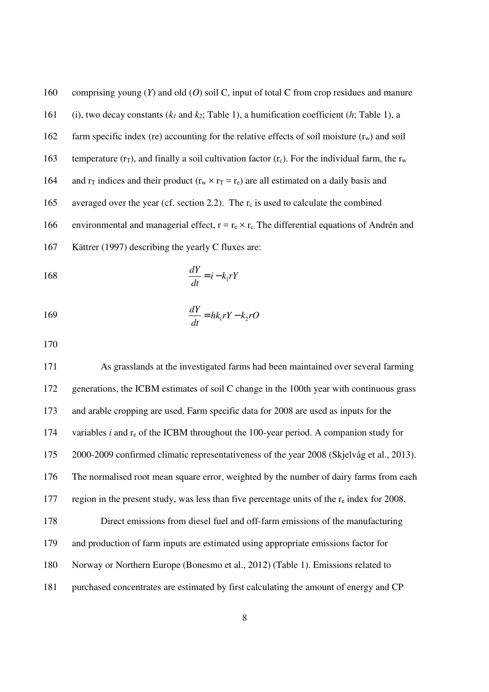160 comprising young (*Y*) and old (*O*) soil C, input of total C from crop residues and manure 161 (i), two decay constants (*k1* and *k2*; Table 1), a humification coefficient (*h*; Table 1), a 162 farm specific index (re) accounting for the relative effects of soil moisture  $(r_w)$  and soil 163 temperature ( $r_T$ ), and finally a soil cultivation factor ( $r_c$ ). For the individual farm, the  $r_w$ 164 and  $r<sub>T</sub>$  indices and their product ( $r<sub>w</sub> \times r<sub>T</sub> = r<sub>e</sub>$ ) are all estimated on a daily basis and 165 averaged over the year (cf. section 2.2). The  $r_c$  is used to calculate the combined 166 environmental and managerial effect,  $r = r_e \times r_c$ . The differential equations of Andrén and 167 Kättrer (1997) describing the yearly C fluxes are:

$$
\frac{dY}{dt} = i - k_1 rY
$$

$$
\frac{dY}{dt} = hk_1 rY - k_2 rO
$$

170

171 As grasslands at the investigated farms had been maintained over several farming 172 generations, the ICBM estimates of soil C change in the 100th year with continuous grass 173 and arable cropping are used. Farm specific data for 2008 are used as inputs for the 174 variables *i* and re of the ICBM throughout the 100-year period. A companion study for 175 2000-2009 confirmed climatic representativeness of the year 2008 (Skjelvåg et al., 2013). 176 The normalised root mean square error, weighted by the number of dairy farms from each 177 region in the present study, was less than five percentage units of the  $r_e$  index for 2008. 178 Direct emissions from diesel fuel and off-farm emissions of the manufacturing 179 and production of farm inputs are estimated using appropriate emissions factor for 180 Norway or Northern Europe (Bonesmo et al., 2012) (Table 1). Emissions related to 181 purchased concentrates are estimated by first calculating the amount of energy and CP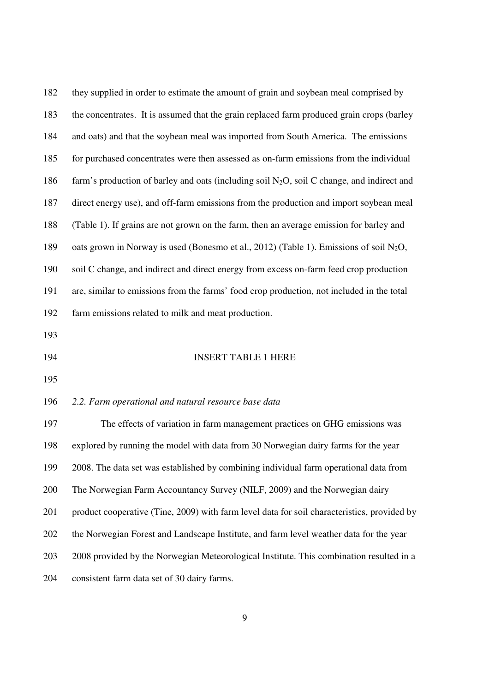| 182 | they supplied in order to estimate the amount of grain and soybean meal comprised by               |
|-----|----------------------------------------------------------------------------------------------------|
| 183 | the concentrates. It is assumed that the grain replaced farm produced grain crops (barley          |
| 184 | and oats) and that the soybean meal was imported from South America. The emissions                 |
| 185 | for purchased concentrates were then assessed as on-farm emissions from the individual             |
| 186 | farm's production of barley and oats (including soil $N_2O$ , soil C change, and indirect and      |
| 187 | direct energy use), and off-farm emissions from the production and import soybean meal             |
| 188 | (Table 1). If grains are not grown on the farm, then an average emission for barley and            |
| 189 | oats grown in Norway is used (Bonesmo et al., 2012) (Table 1). Emissions of soil N <sub>2</sub> O, |
| 190 | soil C change, and indirect and direct energy from excess on-farm feed crop production             |
| 191 | are, similar to emissions from the farms' food crop production, not included in the total          |
| 192 | farm emissions related to milk and meat production.                                                |
| 193 |                                                                                                    |
| 194 | <b>INSERT TABLE 1 HERE</b>                                                                         |
| 195 |                                                                                                    |
| 196 | 2.2. Farm operational and natural resource base data                                               |
| 197 | The effects of variation in farm management practices on GHG emissions was                         |
| 198 | explored by running the model with data from 30 Norwegian dairy farms for the year                 |
| 199 | 2008. The data set was established by combining individual farm operational data from              |
| 200 | The Norwegian Farm Accountancy Survey (NILF, 2009) and the Norwegian dairy                         |
| 201 | product cooperative (Tine, 2009) with farm level data for soil characteristics, provided by        |
| 202 | the Norwegian Forest and Landscape Institute, and farm level weather data for the year             |
| 203 | 2008 provided by the Norwegian Meteorological Institute. This combination resulted in a            |
| 204 | consistent farm data set of 30 dairy farms.                                                        |
|     |                                                                                                    |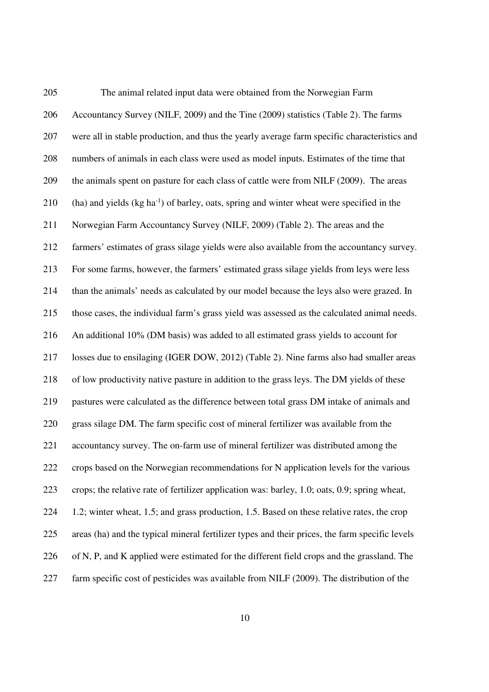205 The animal related input data were obtained from the Norwegian Farm 206 Accountancy Survey (NILF, 2009) and the Tine (2009) statistics (Table 2). The farms 207 were all in stable production, and thus the yearly average farm specific characteristics and 208 numbers of animals in each class were used as model inputs. Estimates of the time that 209 the animals spent on pasture for each class of cattle were from NILF (2009). The areas (ha) and yields (kg ha<sup>-1</sup>) of barley, oats, spring and winter wheat were specified in the 211 Norwegian Farm Accountancy Survey (NILF, 2009) (Table 2). The areas and the 212 farmers' estimates of grass silage yields were also available from the accountancy survey. 213 For some farms, however, the farmers' estimated grass silage yields from leys were less 214 than the animals' needs as calculated by our model because the leys also were grazed. In 215 those cases, the individual farm's grass yield was assessed as the calculated animal needs. 216 An additional 10% (DM basis) was added to all estimated grass yields to account for 217 losses due to ensilaging (IGER DOW, 2012) (Table 2). Nine farms also had smaller areas 218 of low productivity native pasture in addition to the grass leys. The DM yields of these 219 pastures were calculated as the difference between total grass DM intake of animals and 220 grass silage DM. The farm specific cost of mineral fertilizer was available from the 221 accountancy survey. The on-farm use of mineral fertilizer was distributed among the 222 crops based on the Norwegian recommendations for N application levels for the various 223 crops; the relative rate of fertilizer application was: barley, 1.0; oats, 0.9; spring wheat, 224 1.2; winter wheat, 1.5; and grass production, 1.5. Based on these relative rates, the crop 225 areas (ha) and the typical mineral fertilizer types and their prices, the farm specific levels 226 of N, P, and K applied were estimated for the different field crops and the grassland. The 227 farm specific cost of pesticides was available from NILF (2009). The distribution of the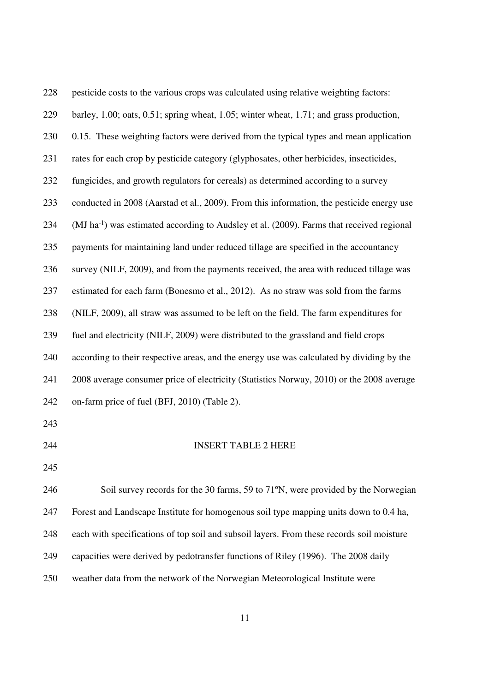| 228 | pesticide costs to the various crops was calculated using relative weighting factors:                 |
|-----|-------------------------------------------------------------------------------------------------------|
| 229 | barley, 1.00; oats, 0.51; spring wheat, 1.05; winter wheat, 1.71; and grass production,               |
| 230 | 0.15. These weighting factors were derived from the typical types and mean application                |
| 231 | rates for each crop by pesticide category (glyphosates, other herbicides, insecticides,               |
| 232 | fungicides, and growth regulators for cereals) as determined according to a survey                    |
| 233 | conducted in 2008 (Aarstad et al., 2009). From this information, the pesticide energy use             |
| 234 | (MJ ha <sup>-1</sup> ) was estimated according to Audsley et al. (2009). Farms that received regional |
| 235 | payments for maintaining land under reduced tillage are specified in the accountancy                  |
| 236 | survey (NILF, 2009), and from the payments received, the area with reduced tillage was                |
| 237 | estimated for each farm (Bonesmo et al., 2012). As no straw was sold from the farms                   |
| 238 | (NILF, 2009), all straw was assumed to be left on the field. The farm expenditures for                |
| 239 | fuel and electricity (NILF, 2009) were distributed to the grassland and field crops                   |
| 240 | according to their respective areas, and the energy use was calculated by dividing by the             |
| 241 | 2008 average consumer price of electricity (Statistics Norway, 2010) or the 2008 average              |
| 242 | on-farm price of fuel (BFJ, 2010) (Table 2).                                                          |
| 243 |                                                                                                       |
| 244 | <b>INSERT TABLE 2 HERE</b>                                                                            |
| 245 |                                                                                                       |
| 246 | Soil survey records for the 30 farms, 59 to 71°N, were provided by the Norwegian                      |
| 247 | Forest and Landscape Institute for homogenous soil type mapping units down to 0.4 ha,                 |
| 248 | each with specifications of top soil and subsoil layers. From these records soil moisture             |
| 249 | capacities were derived by pedotransfer functions of Riley (1996). The 2008 daily                     |
| 250 | weather data from the network of the Norwegian Meteorological Institute were                          |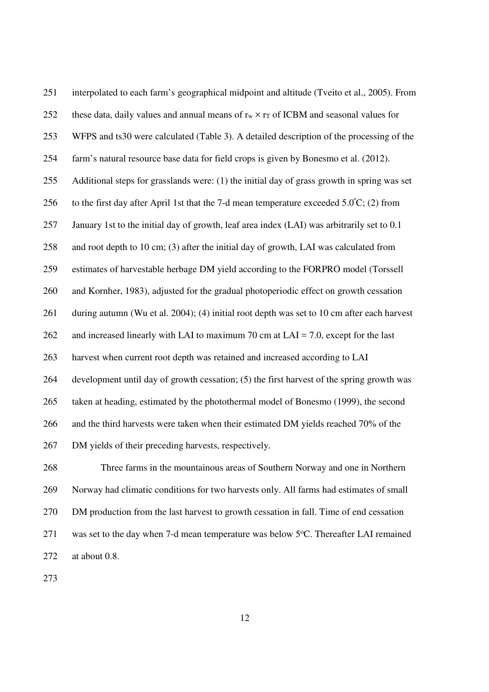| 251 | interpolated to each farm's geographical midpoint and altitude (Tveito et al., 2005). From        |
|-----|---------------------------------------------------------------------------------------------------|
| 252 | these data, daily values and annual means of $r_w \times r_T$ of ICBM and seasonal values for     |
| 253 | WFPS and ts30 were calculated (Table 3). A detailed description of the processing of the          |
| 254 | farm's natural resource base data for field crops is given by Bonesmo et al. (2012).              |
| 255 | Additional steps for grasslands were: (1) the initial day of grass growth in spring was set       |
| 256 | to the first day after April 1st that the 7-d mean temperature exceeded $5.0^{\circ}$ C; (2) from |
| 257 | January 1st to the initial day of growth, leaf area index (LAI) was arbitrarily set to 0.1        |
| 258 | and root depth to 10 cm; (3) after the initial day of growth, LAI was calculated from             |
| 259 | estimates of harvestable herbage DM yield according to the FORPRO model (Torssell                 |
| 260 | and Kornher, 1983), adjusted for the gradual photoperiodic effect on growth cessation             |
| 261 | during autumn (Wu et al. 2004); (4) initial root depth was set to 10 cm after each harvest        |
| 262 | and increased linearly with LAI to maximum 70 cm at LAI = 7.0, except for the last                |
| 263 | harvest when current root depth was retained and increased according to LAI                       |
| 264 | development until day of growth cessation; (5) the first harvest of the spring growth was         |
| 265 | taken at heading, estimated by the photothermal model of Bonesmo (1999), the second               |
| 266 | and the third harvests were taken when their estimated DM yields reached 70% of the               |
| 267 | DM yields of their preceding harvests, respectively.                                              |
| 268 | Three farms in the mountainous areas of Southern Norway and one in Northern                       |
| 269 | Norway had climatic conditions for two harvests only. All farms had estimates of small            |
| 270 | DM production from the last harvest to growth cessation in fall. Time of end cessation            |

271 was set to the day when 7-d mean temperature was below  $5^{\circ}$ C. Thereafter LAI remained 272 at about 0.8.

273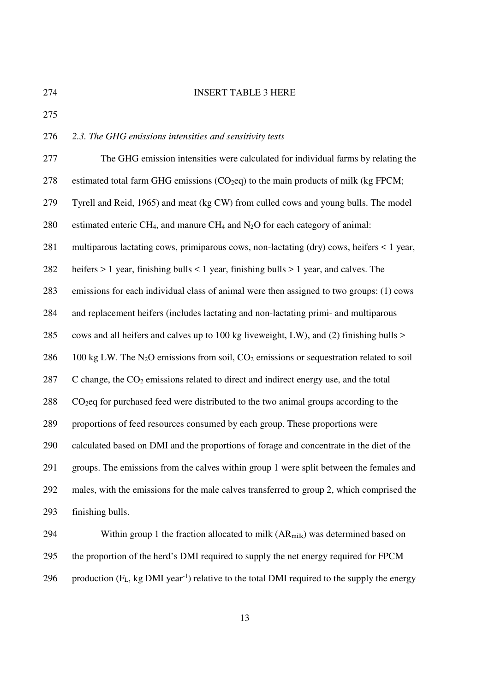### 274 INSERT TABLE 3 HERE

275

### 276 *2.3. The GHG emissions intensities and sensitivity tests*

277 The GHG emission intensities were calculated for individual farms by relating the 278 estimated total farm GHG emissions  $(CO_2eq)$  to the main products of milk (kg FPCM; 279 Tyrell and Reid, 1965) and meat (kg CW) from culled cows and young bulls. The model 280 estimated enteric CH<sub>4</sub>, and manure CH<sub>4</sub> and N<sub>2</sub>O for each category of animal: 281 multiparous lactating cows, primiparous cows, non-lactating (dry) cows, heifers < 1 year, 282 heifers > 1 year, finishing bulls < 1 year, finishing bulls > 1 year, and calves. The 283 emissions for each individual class of animal were then assigned to two groups: (1) cows 284 and replacement heifers (includes lactating and non-lactating primi- and multiparous 285 cows and all heifers and calves up to 100 kg liveweight, LW), and (2) finishing bulls > 286 100 kg LW. The N<sub>2</sub>O emissions from soil, CO<sub>2</sub> emissions or sequestration related to soil  $287$  C change, the  $CO<sub>2</sub>$  emissions related to direct and indirect energy use, and the total 288 CO2eq for purchased feed were distributed to the two animal groups according to the 289 proportions of feed resources consumed by each group. These proportions were 290 calculated based on DMI and the proportions of forage and concentrate in the diet of the 291 groups. The emissions from the calves within group 1 were split between the females and 292 males, with the emissions for the male calves transferred to group 2, which comprised the 293 finishing bulls.

294 Within group 1 the fraction allocated to milk (AR<sub>milk</sub>) was determined based on 295 the proportion of the herd's DMI required to supply the net energy required for FPCM 296 production  $(F_L, kg DMI year^{-1})$  relative to the total DMI required to the supply the energy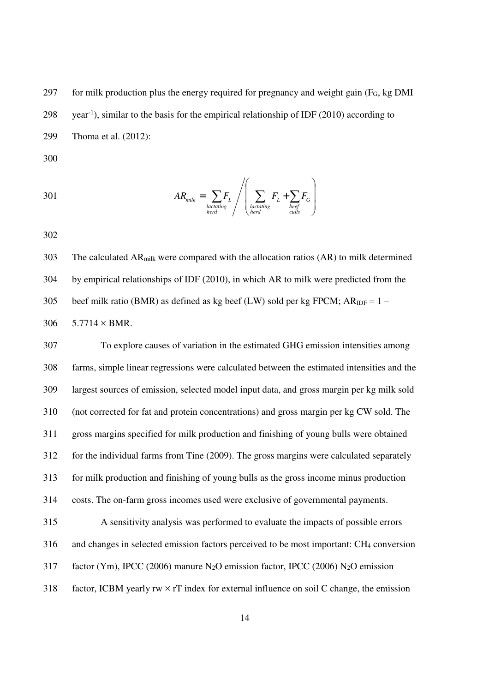297 for milk production plus the energy required for pregnancy and weight gain  $(F_G, kg\text{ DMI})$  $298$  vear<sup>-1</sup>), similar to the basis for the empirical relationship of IDF (2010) according to 299 Thoma et al. (2012):

300

301 
$$
AR_{milk} = \sum_{\substack{lactating \\ \text{herd}}} F_L / \left( \sum_{\substack{lactating \\ \text{herd}}} F_L + \sum_{\substack{bref \\ \text{cells}}} F_G \right)
$$

302

303 The calculated ARmilk were compared with the allocation ratios (AR) to milk determined 304 by empirical relationships of IDF (2010), in which AR to milk were predicted from the 305 beef milk ratio (BMR) as defined as kg beef (LW) sold per kg FPCM;  $AR_{IDF} = 1 -$ 306  $5.7714 \times BMR$ .

307 To explore causes of variation in the estimated GHG emission intensities among 308 farms, simple linear regressions were calculated between the estimated intensities and the 309 largest sources of emission, selected model input data, and gross margin per kg milk sold 310 (not corrected for fat and protein concentrations) and gross margin per kg CW sold. The 311 gross margins specified for milk production and finishing of young bulls were obtained 312 for the individual farms from Tine (2009). The gross margins were calculated separately 313 for milk production and finishing of young bulls as the gross income minus production 314 costs. The on-farm gross incomes used were exclusive of governmental payments. 315 A sensitivity analysis was performed to evaluate the impacts of possible errors 316 and changes in selected emission factors perceived to be most important: CH4 conversion 317 factor (Ym), IPCC (2006) manure N2O emission factor, IPCC (2006) N2O emission 318 factor, ICBM yearly  $rw \times rT$  index for external influence on soil C change, the emission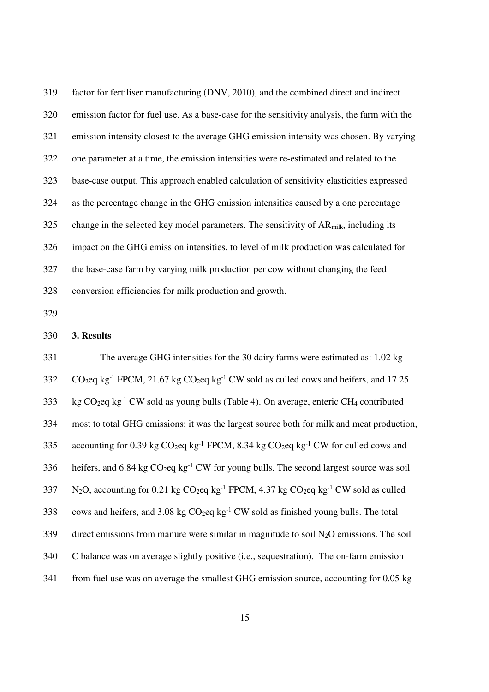319 factor for fertiliser manufacturing (DNV, 2010), and the combined direct and indirect 320 emission factor for fuel use. As a base-case for the sensitivity analysis, the farm with the 321 emission intensity closest to the average GHG emission intensity was chosen. By varying 322 one parameter at a time, the emission intensities were re-estimated and related to the 323 base-case output. This approach enabled calculation of sensitivity elasticities expressed 324 as the percentage change in the GHG emission intensities caused by a one percentage  $325$  change in the selected key model parameters. The sensitivity of AR<sub>milk</sub>, including its 326 impact on the GHG emission intensities, to level of milk production was calculated for 327 the base-case farm by varying milk production per cow without changing the feed 328 conversion efficiencies for milk production and growth.

329

### 330 **3. Results**

331 The average GHG intensities for the 30 dairy farms were estimated as: 1.02 kg  $CO<sub>2</sub>$ eq kg<sup>-1</sup> FPCM, 21.67 kg  $CO<sub>2</sub>$ eq kg<sup>-1</sup> CW sold as culled cows and heifers, and 17.25 333 kg CO<sub>2</sub>eq kg<sup>-1</sup> CW sold as young bulls (Table 4). On average, enteric CH<sub>4</sub> contributed 334 most to total GHG emissions; it was the largest source both for milk and meat production, 335 accounting for 0.39 kg  $CO_2$ eq kg<sup>-1</sup> FPCM, 8.34 kg  $CO_2$ eq kg<sup>-1</sup> CW for culled cows and 336 heifers, and 6.84 kg  $CO_2$ eq kg<sup>-1</sup> CW for young bulls. The second largest source was soil  $N_2O$ , accounting for 0.21 kg CO<sub>2</sub>eq kg<sup>-1</sup> FPCM, 4.37 kg CO<sub>2</sub>eq kg<sup>-1</sup> CW sold as culled 338 cows and heifers, and 3.08 kg  $CO_2$ eq kg<sup>-1</sup> CW sold as finished young bulls. The total  $339$  direct emissions from manure were similar in magnitude to soil N<sub>2</sub>O emissions. The soil 340 C balance was on average slightly positive (i.e., sequestration). The on-farm emission 341 from fuel use was on average the smallest GHG emission source, accounting for 0.05 kg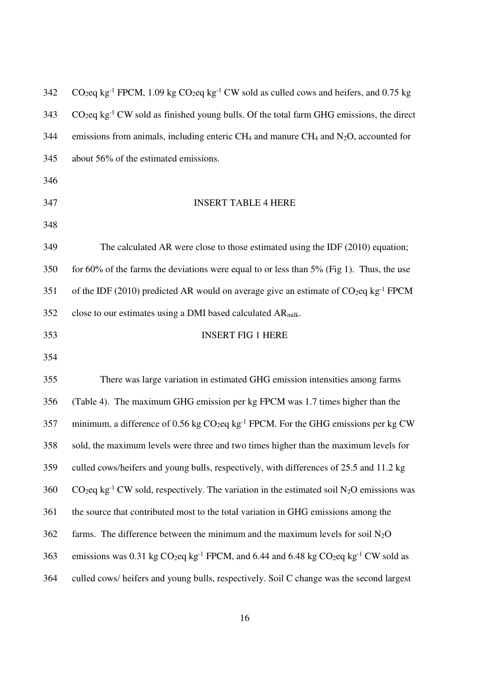| 342 | CO <sub>2</sub> eq kg <sup>-1</sup> FPCM, 1.09 kg CO <sub>2</sub> eq kg <sup>-1</sup> CW sold as culled cows and heifers, and 0.75 kg |
|-----|---------------------------------------------------------------------------------------------------------------------------------------|
| 343 | $CO$ <sub>2</sub> eq kg <sup>-1</sup> CW sold as finished young bulls. Of the total farm GHG emissions, the direct                    |
| 344 | emissions from animals, including enteric CH <sub>4</sub> and manure CH <sub>4</sub> and N <sub>2</sub> O, accounted for              |
| 345 | about 56% of the estimated emissions.                                                                                                 |
| 346 |                                                                                                                                       |
| 347 | <b>INSERT TABLE 4 HERE</b>                                                                                                            |
| 348 |                                                                                                                                       |
| 349 | The calculated AR were close to those estimated using the IDF $(2010)$ equation;                                                      |
| 350 | for $60\%$ of the farms the deviations were equal to or less than $5\%$ (Fig 1). Thus, the use                                        |
| 351 | of the IDF (2010) predicted AR would on average give an estimate of $CO2eq kg-1$ FPCM                                                 |
| 352 | close to our estimates using a DMI based calculated AR <sub>milk</sub> .                                                              |
| 353 | <b>INSERT FIG 1 HERE</b>                                                                                                              |
| 354 |                                                                                                                                       |
| 355 | There was large variation in estimated GHG emission intensities among farms                                                           |
| 356 | (Table 4). The maximum GHG emission per kg FPCM was 1.7 times higher than the                                                         |
| 357 | minimum, a difference of 0.56 kg $CO2$ eq kg <sup>-1</sup> FPCM. For the GHG emissions per kg CW                                      |
| 358 | sold, the maximum levels were three and two times higher than the maximum levels for                                                  |
| 359 | culled cows/heifers and young bulls, respectively, with differences of 25.5 and 11.2 kg                                               |
| 360 | $CO_2$ eq kg <sup>-1</sup> CW sold, respectively. The variation in the estimated soil N <sub>2</sub> O emissions was                  |
| 361 | the source that contributed most to the total variation in GHG emissions among the                                                    |
| 362 | farms. The difference between the minimum and the maximum levels for soil $N_2O$                                                      |
| 363 | emissions was 0.31 kg $CO_2$ eq kg <sup>-1</sup> FPCM, and 6.44 and 6.48 kg $CO_2$ eq kg <sup>-1</sup> CW sold as                     |
| 364 | culled cows/ heifers and young bulls, respectively. Soil C change was the second largest                                              |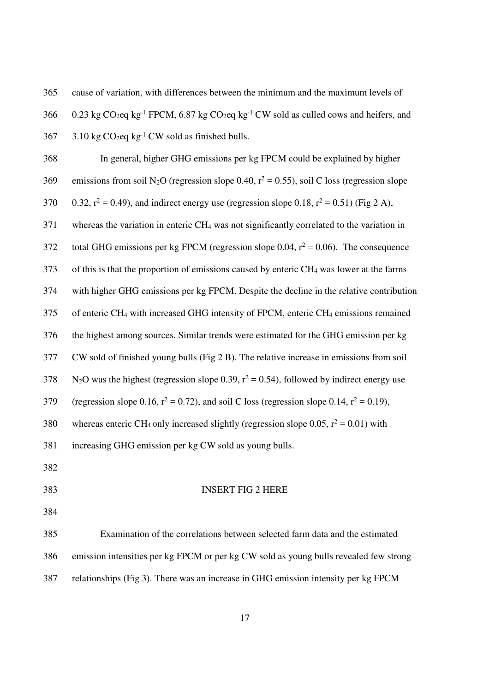365 cause of variation, with differences between the minimum and the maximum levels of

366 0.23 kg CO<sub>2</sub>eq kg<sup>-1</sup> FPCM, 6.87 kg CO<sub>2</sub>eq kg<sup>-1</sup> CW sold as culled cows and heifers, and

 $367$  3.10 kg CO<sub>2</sub>eq kg<sup>-1</sup> CW sold as finished bulls.

368 In general, higher GHG emissions per kg FPCM could be explained by higher 369 emissions from soil N<sub>2</sub>O (regression slope 0.40,  $r^2 = 0.55$ ), soil C loss (regression slope 370 0.32,  $r^2 = 0.49$ ), and indirect energy use (regression slope 0.18,  $r^2 = 0.51$ ) (Fig 2 A), 371 whereas the variation in enteric CH4 was not significantly correlated to the variation in 372 total GHG emissions per kg FPCM (regression slope 0.04,  $r^2 = 0.06$ ). The consequence 373 of this is that the proportion of emissions caused by enteric CH4 was lower at the farms 374 with higher GHG emissions per kg FPCM. Despite the decline in the relative contribution 375 of enteric CH4 with increased GHG intensity of FPCM, enteric CH4 emissions remained 376 the highest among sources. Similar trends were estimated for the GHG emission per kg 377 CW sold of finished young bulls (Fig 2 B). The relative increase in emissions from soil  $N_2$ O was the highest (regression slope 0.39,  $r^2 = 0.54$ ), followed by indirect energy use 379 (regression slope 0.16,  $r^2 = 0.72$ ), and soil C loss (regression slope 0.14,  $r^2 = 0.19$ ), 380 whereas enteric CH<sub>4</sub> only increased slightly (regression slope 0.05,  $r^2 = 0.01$ ) with 381 increasing GHG emission per kg CW sold as young bulls. 382 383 INSERT FIG 2 HERE 384 385 Examination of the correlations between selected farm data and the estimated 386 emission intensities per kg FPCM or per kg CW sold as young bulls revealed few strong

387 relationships (Fig 3). There was an increase in GHG emission intensity per kg FPCM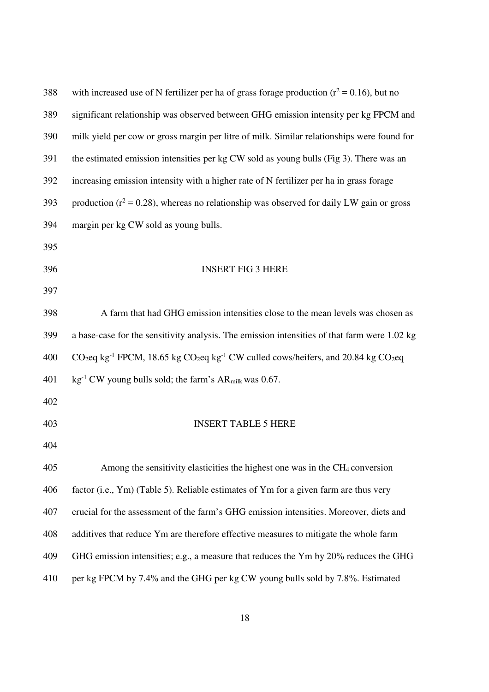| 388 | with increased use of N fertilizer per ha of grass forage production ( $r^2$ = 0.16), but no                                                   |
|-----|------------------------------------------------------------------------------------------------------------------------------------------------|
| 389 | significant relationship was observed between GHG emission intensity per kg FPCM and                                                           |
| 390 | milk yield per cow or gross margin per litre of milk. Similar relationships were found for                                                     |
| 391 | the estimated emission intensities per kg CW sold as young bulls (Fig 3). There was an                                                         |
| 392 | increasing emission intensity with a higher rate of N fertilizer per ha in grass forage                                                        |
| 393 | production ( $r^2$ = 0.28), whereas no relationship was observed for daily LW gain or gross                                                    |
| 394 | margin per kg CW sold as young bulls.                                                                                                          |
| 395 |                                                                                                                                                |
| 396 | <b>INSERT FIG 3 HERE</b>                                                                                                                       |
| 397 |                                                                                                                                                |
| 398 | A farm that had GHG emission intensities close to the mean levels was chosen as                                                                |
| 399 | a base-case for the sensitivity analysis. The emission intensities of that farm were 1.02 kg                                                   |
| 400 | CO <sub>2</sub> eq kg <sup>-1</sup> FPCM, 18.65 kg CO <sub>2</sub> eq kg <sup>-1</sup> CW culled cows/heifers, and 20.84 kg CO <sub>2</sub> eq |
| 401 | $\text{kg}^{-1}$ CW young bulls sold; the farm's AR <sub>milk</sub> was 0.67.                                                                  |
| 402 |                                                                                                                                                |
| 403 | <b>INSERT TABLE 5 HERE</b>                                                                                                                     |
| 404 |                                                                                                                                                |
| 405 | Among the sensitivity elasticities the highest one was in the CH <sub>4</sub> conversion                                                       |
| 406 | factor (i.e., Ym) (Table 5). Reliable estimates of Ym for a given farm are thus very                                                           |
| 407 | crucial for the assessment of the farm's GHG emission intensities. Moreover, diets and                                                         |
| 408 | additives that reduce Ym are therefore effective measures to mitigate the whole farm                                                           |
| 409 | GHG emission intensities; e.g., a measure that reduces the Ym by 20% reduces the GHG                                                           |
| 410 | per kg FPCM by 7.4% and the GHG per kg CW young bulls sold by 7.8%. Estimated                                                                  |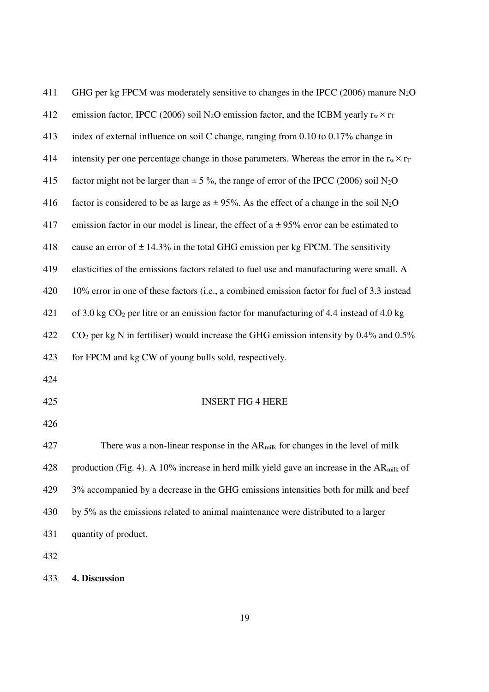| 411 | GHG per kg FPCM was moderately sensitive to changes in the IPCC (2006) manure $N_2O$                     |
|-----|----------------------------------------------------------------------------------------------------------|
| 412 | emission factor, IPCC (2006) soil N <sub>2</sub> O emission factor, and the ICBM yearly $r_w \times r_T$ |
| 413 | index of external influence on soil C change, ranging from 0.10 to 0.17% change in                       |
| 414 | intensity per one percentage change in those parameters. Whereas the error in the $r_w \times r_T$       |
| 415 | factor might not be larger than $\pm$ 5 %, the range of error of the IPCC (2006) soil N <sub>2</sub> O   |
| 416 | factor is considered to be as large as $\pm$ 95%. As the effect of a change in the soil N <sub>2</sub> O |
| 417 | emission factor in our model is linear, the effect of $a \pm 95\%$ error can be estimated to             |
| 418 | cause an error of $\pm$ 14.3% in the total GHG emission per kg FPCM. The sensitivity                     |
| 419 | elasticities of the emissions factors related to fuel use and manufacturing were small. A                |
| 420 | 10% error in one of these factors (i.e., a combined emission factor for fuel of 3.3 instead              |
| 421 | of 3.0 kg $CO2$ per litre or an emission factor for manufacturing of 4.4 instead of 4.0 kg               |
| 422 | $CO2$ per kg N in fertiliser) would increase the GHG emission intensity by 0.4% and 0.5%                 |
| 423 | for FPCM and kg CW of young bulls sold, respectively.                                                    |
| 424 |                                                                                                          |
| 425 | <b>INSERT FIG 4 HERE</b>                                                                                 |
| 426 |                                                                                                          |
| 427 | There was a non-linear response in the AR <sub>milk</sub> for changes in the level of milk               |
| 428 | production (Fig. 4). A 10% increase in herd milk yield gave an increase in the $ARmilk$ of               |
| 429 | 3% accompanied by a decrease in the GHG emissions intensities both for milk and beef                     |
| 430 | by 5% as the emissions related to animal maintenance were distributed to a larger                        |
| 431 | quantity of product.                                                                                     |
| 432 |                                                                                                          |

433 **4. Discussion**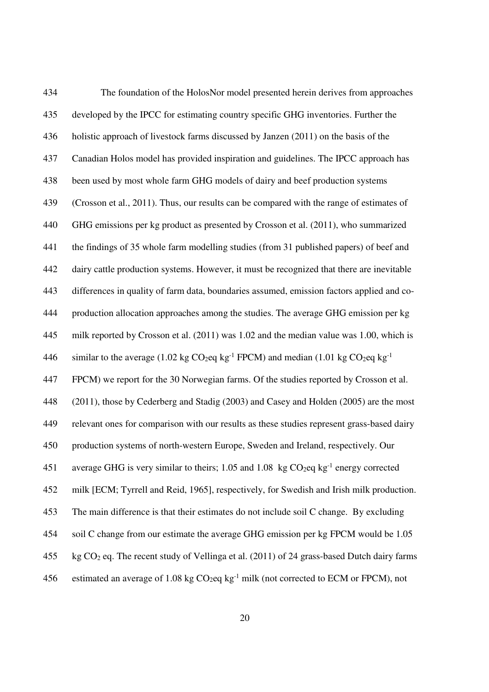434 The foundation of the HolosNor model presented herein derives from approaches 435 developed by the IPCC for estimating country specific GHG inventories. Further the 436 holistic approach of livestock farms discussed by Janzen (2011) on the basis of the 437 Canadian Holos model has provided inspiration and guidelines. The IPCC approach has 438 been used by most whole farm GHG models of dairy and beef production systems 439 (Crosson et al., 2011). Thus, our results can be compared with the range of estimates of 440 GHG emissions per kg product as presented by Crosson et al. (2011), who summarized 441 the findings of 35 whole farm modelling studies (from 31 published papers) of beef and 442 dairy cattle production systems. However, it must be recognized that there are inevitable 443 differences in quality of farm data, boundaries assumed, emission factors applied and co-444 production allocation approaches among the studies. The average GHG emission per kg 445 milk reported by Crosson et al. (2011) was 1.02 and the median value was 1.00, which is 446 similar to the average (1.02 kg  $CO_2$ eq kg<sup>-1</sup> FPCM) and median (1.01 kg  $CO_2$ eq kg<sup>-1</sup> 447 FPCM) we report for the 30 Norwegian farms. Of the studies reported by Crosson et al. 448 (2011), those by Cederberg and Stadig (2003) and Casey and Holden (2005) are the most 449 relevant ones for comparison with our results as these studies represent grass-based dairy 450 production systems of north-western Europe, Sweden and Ireland, respectively. Our 451 average GHG is very similar to theirs; 1.05 and 1.08 kg  $CO<sub>2</sub>eq$  kg<sup>-1</sup> energy corrected 452 milk [ECM; Tyrrell and Reid, 1965], respectively, for Swedish and Irish milk production. 453 The main difference is that their estimates do not include soil C change. By excluding 454 soil C change from our estimate the average GHG emission per kg FPCM would be 1.05 455 kg  $CO<sub>2</sub>$  eq. The recent study of Vellinga et al. (2011) of 24 grass-based Dutch dairy farms 456 estimated an average of 1.08 kg  $CO<sub>2</sub>$ eq kg<sup>-1</sup> milk (not corrected to ECM or FPCM), not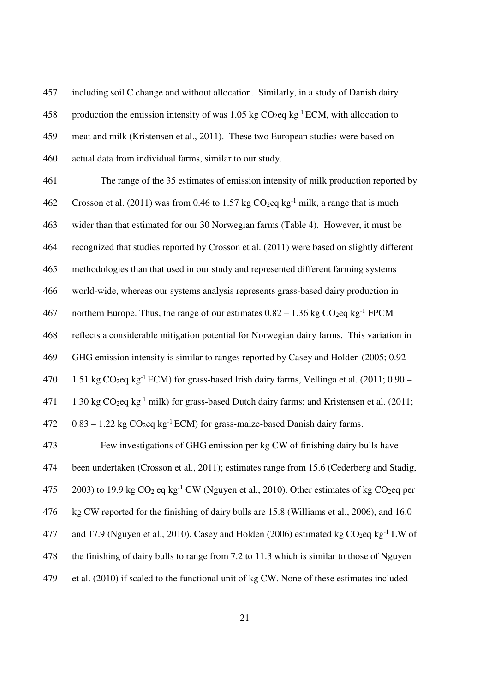457 including soil C change and without allocation. Similarly, in a study of Danish dairy 458 production the emission intensity of was 1.05 kg  $CO_2$ eq kg<sup>-1</sup> ECM, with allocation to 459 meat and milk (Kristensen et al., 2011). These two European studies were based on 460 actual data from individual farms, similar to our study.

461 The range of the 35 estimates of emission intensity of milk production reported by 462 Crosson et al. (2011) was from 0.46 to 1.57 kg  $CO_2$ eq kg<sup>-1</sup> milk, a range that is much 463 wider than that estimated for our 30 Norwegian farms (Table 4). However, it must be 464 recognized that studies reported by Crosson et al. (2011) were based on slightly different 465 methodologies than that used in our study and represented different farming systems 466 world-wide, whereas our systems analysis represents grass-based dairy production in 467 northern Europe. Thus, the range of our estimates  $0.82 - 1.36$  kg CO<sub>2</sub>eq kg<sup>-1</sup> FPCM 468 reflects a considerable mitigation potential for Norwegian dairy farms. This variation in 469 GHG emission intensity is similar to ranges reported by Casey and Holden (2005; 0.92 – 470  $1.51 \text{ kg CO}_2$ eq kg<sup>-1</sup> ECM) for grass-based Irish dairy farms, Vellinga et al. (2011; 0.90 – 471 1.30 kg  $CO_2$ eq kg<sup>-1</sup> milk) for grass-based Dutch dairy farms; and Kristensen et al. (2011; 472 – 0.83 – 1.22 kg  $CO<sub>2</sub>$ eq kg<sup>-1</sup> ECM) for grass-maize-based Danish dairy farms. 473 Few investigations of GHG emission per kg CW of finishing dairy bulls have 474 been undertaken (Crosson et al., 2011); estimates range from 15.6 (Cederberg and Stadig, 475  $2003$ ) to 19.9 kg CO<sub>2</sub> eq kg<sup>-1</sup> CW (Nguyen et al., 2010). Other estimates of kg CO<sub>2</sub> eq per 476 kg CW reported for the finishing of dairy bulls are 15.8 (Williams et al., 2006), and 16.0 477 and 17.9 (Nguyen et al., 2010). Casey and Holden (2006) estimated kg  $CO<sub>2</sub>eq$  kg<sup>-1</sup> LW of 478 the finishing of dairy bulls to range from 7.2 to 11.3 which is similar to those of Nguyen 479 et al. (2010) if scaled to the functional unit of kg CW. None of these estimates included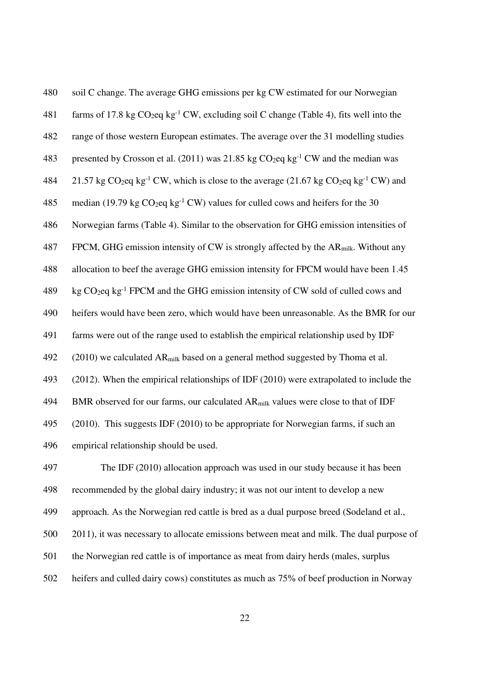| 480 | soil C change. The average GHG emissions per kg CW estimated for our Norwegian                                     |
|-----|--------------------------------------------------------------------------------------------------------------------|
| 481 | farms of 17.8 kg $CO_2$ eq kg <sup>-1</sup> CW, excluding soil C change (Table 4), fits well into the              |
| 482 | range of those western European estimates. The average over the 31 modelling studies                               |
| 483 | presented by Crosson et al. (2011) was 21.85 kg $CO2eq$ kg <sup>-1</sup> CW and the median was                     |
| 484 | 21.57 kg $CO_2$ eq kg <sup>-1</sup> CW, which is close to the average (21.67 kg $CO_2$ eq kg <sup>-1</sup> CW) and |
| 485 | median (19.79 kg $CO_2$ eq kg <sup>-1</sup> CW) values for culled cows and heifers for the 30                      |
| 486 | Norwegian farms (Table 4). Similar to the observation for GHG emission intensities of                              |
| 487 | FPCM, GHG emission intensity of CW is strongly affected by the AR <sub>milk</sub> . Without any                    |
| 488 | allocation to beef the average GHG emission intensity for FPCM would have been 1.45                                |
| 489 | kg CO <sub>2</sub> eq kg <sup>-1</sup> FPCM and the GHG emission intensity of CW sold of culled cows and           |
| 490 | heifers would have been zero, which would have been unreasonable. As the BMR for our                               |
| 491 | farms were out of the range used to establish the empirical relationship used by IDF                               |
| 492 | (2010) we calculated AR <sub>milk</sub> based on a general method suggested by Thoma et al.                        |
| 493 | $(2012)$ . When the empirical relationships of IDF $(2010)$ were extrapolated to include the                       |
| 494 | BMR observed for our farms, our calculated AR <sub>milk</sub> values were close to that of IDF                     |
| 495 | (2010). This suggests IDF (2010) to be appropriate for Norwegian farms, if such an                                 |
| 496 | empirical relationship should be used.                                                                             |
| 497 | The IDF (2010) allocation approach was used in our study because it has been                                       |
| 498 | recommended by the global dairy industry; it was not our intent to develop a new                                   |
| 499 | approach. As the Norwegian red cattle is bred as a dual purpose breed (Sodeland et al.,                            |

500 2011), it was necessary to allocate emissions between meat and milk. The dual purpose of

- 501 the Norwegian red cattle is of importance as meat from dairy herds (males, surplus
- 502 heifers and culled dairy cows) constitutes as much as 75% of beef production in Norway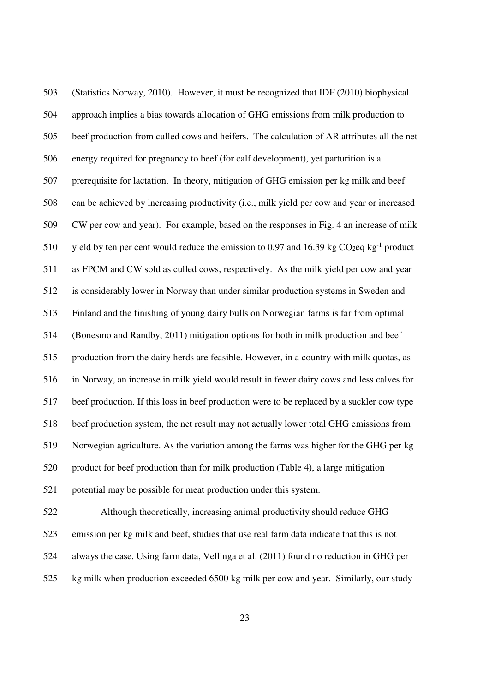503 (Statistics Norway, 2010). However, it must be recognized that IDF (2010) biophysical 504 approach implies a bias towards allocation of GHG emissions from milk production to 505 beef production from culled cows and heifers. The calculation of AR attributes all the net 506 energy required for pregnancy to beef (for calf development), yet parturition is a 507 prerequisite for lactation. In theory, mitigation of GHG emission per kg milk and beef 508 can be achieved by increasing productivity (i.e., milk yield per cow and year or increased 509 CW per cow and year). For example, based on the responses in Fig. 4 an increase of milk 510 yield by ten per cent would reduce the emission to 0.97 and 16.39 kg  $CO<sub>2</sub>eq$  kg<sup>-1</sup> product 511 as FPCM and CW sold as culled cows, respectively. As the milk yield per cow and year 512 is considerably lower in Norway than under similar production systems in Sweden and 513 Finland and the finishing of young dairy bulls on Norwegian farms is far from optimal 514 (Bonesmo and Randby, 2011) mitigation options for both in milk production and beef 515 production from the dairy herds are feasible. However, in a country with milk quotas, as 516 in Norway, an increase in milk yield would result in fewer dairy cows and less calves for 517 beef production. If this loss in beef production were to be replaced by a suckler cow type 518 beef production system, the net result may not actually lower total GHG emissions from 519 Norwegian agriculture. As the variation among the farms was higher for the GHG per kg 520 product for beef production than for milk production (Table 4), a large mitigation 521 potential may be possible for meat production under this system. 522 Although theoretically, increasing animal productivity should reduce GHG

523 emission per kg milk and beef, studies that use real farm data indicate that this is not 524 always the case. Using farm data, Vellinga et al. (2011) found no reduction in GHG per 525 kg milk when production exceeded 6500 kg milk per cow and year. Similarly, our study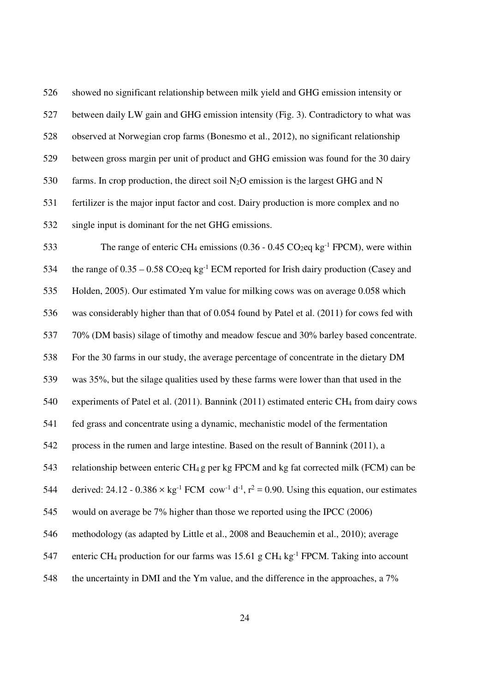526 showed no significant relationship between milk yield and GHG emission intensity or 527 between daily LW gain and GHG emission intensity (Fig. 3). Contradictory to what was 528 observed at Norwegian crop farms (Bonesmo et al., 2012), no significant relationship 529 between gross margin per unit of product and GHG emission was found for the 30 dairy 530 farms. In crop production, the direct soil  $N_2O$  emission is the largest GHG and N 531 fertilizer is the major input factor and cost. Dairy production is more complex and no 532 single input is dominant for the net GHG emissions.

533 The range of enteric CH<sub>4</sub> emissions  $(0.36 - 0.45 \text{ CO}_2$ eq kg<sup>-1</sup> FPCM), were within 534 the range of  $0.35 - 0.58 \text{ CO}_2$ eq kg<sup>-1</sup> ECM reported for Irish dairy production (Casey and 535 Holden, 2005). Our estimated Ym value for milking cows was on average 0.058 which 536 was considerably higher than that of 0.054 found by Patel et al. (2011) for cows fed with 537 70% (DM basis) silage of timothy and meadow fescue and 30% barley based concentrate. 538 For the 30 farms in our study, the average percentage of concentrate in the dietary DM 539 was 35%, but the silage qualities used by these farms were lower than that used in the 540 experiments of Patel et al. (2011). Bannink (2011) estimated enteric CH<sub>4</sub> from dairy cows 541 fed grass and concentrate using a dynamic, mechanistic model of the fermentation 542 process in the rumen and large intestine. Based on the result of Bannink (2011), a 543 relationship between enteric CH4 g per kg FPCM and kg fat corrected milk (FCM) can be 544 derived: 24.12 - 0.386  $\times$  kg<sup>-1</sup> FCM cow<sup>-1</sup> d<sup>-1</sup>, r<sup>2</sup> = 0.90. Using this equation, our estimates 545 would on average be 7% higher than those we reported using the IPCC (2006) 546 methodology (as adapted by Little et al., 2008 and Beauchemin et al., 2010); average 547 enteric CH<sub>4</sub> production for our farms was 15.61 g CH<sub>4</sub> kg<sup>-1</sup> FPCM. Taking into account 548 the uncertainty in DMI and the Ym value, and the difference in the approaches, a 7%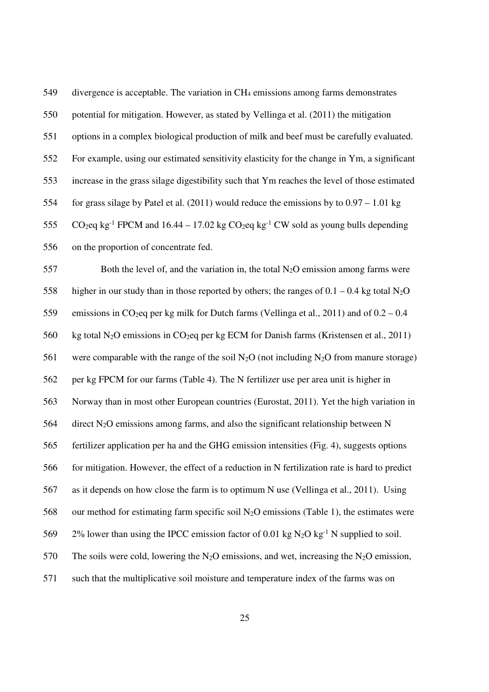549 divergence is acceptable. The variation in CH4 emissions among farms demonstrates 550 potential for mitigation. However, as stated by Vellinga et al. (2011) the mitigation 551 options in a complex biological production of milk and beef must be carefully evaluated. 552 For example, using our estimated sensitivity elasticity for the change in Ym, a significant 553 increase in the grass silage digestibility such that Ym reaches the level of those estimated 554 for grass silage by Patel et al. (2011) would reduce the emissions by to 0.97 – 1.01 kg 555 CO<sub>2</sub>eq kg<sup>-1</sup> FPCM and 16.44 – 17.02 kg CO<sub>2</sub>eq kg<sup>-1</sup> CW sold as young bulls depending 556 on the proportion of concentrate fed.

557 Both the level of, and the variation in, the total  $N_2O$  emission among farms were 558 higher in our study than in those reported by others; the ranges of  $0.1 - 0.4$  kg total N<sub>2</sub>O 559 emissions in CO<sub>2</sub>eq per kg milk for Dutch farms (Vellinga et al., 2011) and of  $0.2 - 0.4$ 560 kg total N2O emissions in CO2eq per kg ECM for Danish farms (Kristensen et al., 2011) 561 were comparable with the range of the soil  $N_2O$  (not including  $N_2O$  from manure storage) 562 per kg FPCM for our farms (Table 4). The N fertilizer use per area unit is higher in 563 Norway than in most other European countries (Eurostat, 2011). Yet the high variation in 564 direct  $N_2O$  emissions among farms, and also the significant relationship between N 565 fertilizer application per ha and the GHG emission intensities (Fig. 4), suggests options 566 for mitigation. However, the effect of a reduction in N fertilization rate is hard to predict 567 as it depends on how close the farm is to optimum N use (Vellinga et al., 2011). Using 568 our method for estimating farm specific soil  $N_2O$  emissions (Table 1), the estimates were 569 2% lower than using the IPCC emission factor of 0.01 kg  $N_2O$  kg<sup>-1</sup> N supplied to soil. 570 The soils were cold, lowering the  $N_2O$  emissions, and wet, increasing the  $N_2O$  emission, 571 such that the multiplicative soil moisture and temperature index of the farms was on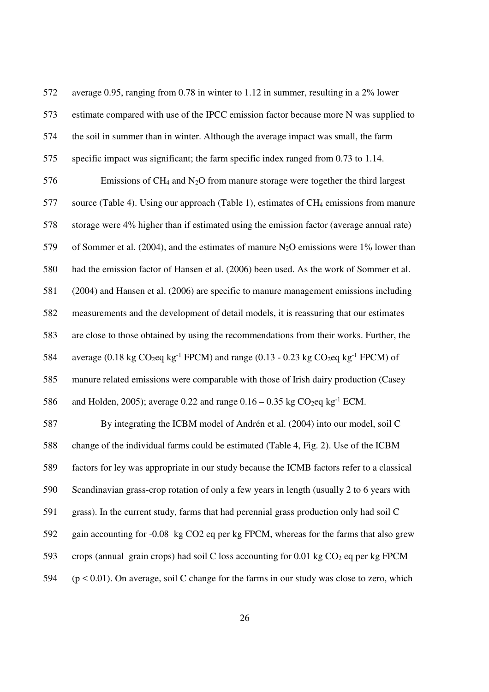572 average 0.95, ranging from 0.78 in winter to 1.12 in summer, resulting in a 2% lower 573 estimate compared with use of the IPCC emission factor because more N was supplied to 574 the soil in summer than in winter. Although the average impact was small, the farm 575 specific impact was significant; the farm specific index ranged from 0.73 to 1.14.  $576$  Emissions of CH<sub>4</sub> and N<sub>2</sub>O from manure storage were together the third largest 577 source (Table 4). Using our approach (Table 1), estimates of CH4 emissions from manure 578 storage were 4% higher than if estimated using the emission factor (average annual rate) 579 of Sommer et al. (2004), and the estimates of manure N<sub>2</sub>O emissions were  $1\%$  lower than 580 had the emission factor of Hansen et al. (2006) been used. As the work of Sommer et al. 581 (2004) and Hansen et al. (2006) are specific to manure management emissions including 582 measurements and the development of detail models, it is reassuring that our estimates 583 are close to those obtained by using the recommendations from their works. Further, the 584 average (0.18 kg CO<sub>2</sub>eq kg<sup>-1</sup> FPCM) and range (0.13 - 0.23 kg CO<sub>2</sub>eq kg<sup>-1</sup> FPCM) of 585 manure related emissions were comparable with those of Irish dairy production (Casey 586 and Holden, 2005); average 0.22 and range  $0.16 - 0.35$  kg CO<sub>2</sub>eq kg<sup>-1</sup> ECM. 587 By integrating the ICBM model of Andrén et al. (2004) into our model, soil C 588 change of the individual farms could be estimated (Table 4, Fig. 2). Use of the ICBM 589 factors for ley was appropriate in our study because the ICMB factors refer to a classical 590 Scandinavian grass-crop rotation of only a few years in length (usually 2 to 6 years with 591 grass). In the current study, farms that had perennial grass production only had soil C 592 gain accounting for -0.08 kg CO2 eq per kg FPCM, whereas for the farms that also grew 593 crops (annual grain crops) had soil C loss accounting for 0.01 kg  $CO<sub>2</sub>$  eq per kg FPCM 594 (p < 0.01). On average, soil C change for the farms in our study was close to zero, which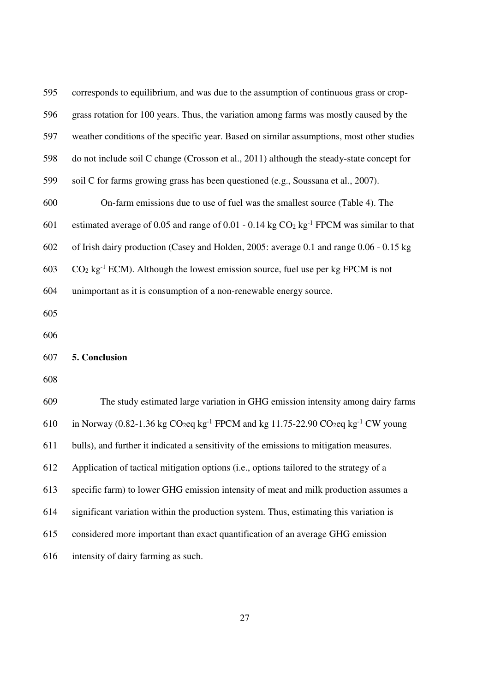| 595 | corresponds to equilibrium, and was due to the assumption of continuous grass or crop-                         |
|-----|----------------------------------------------------------------------------------------------------------------|
| 596 | grass rotation for 100 years. Thus, the variation among farms was mostly caused by the                         |
| 597 | weather conditions of the specific year. Based on similar assumptions, most other studies                      |
| 598 | do not include soil C change (Crosson et al., 2011) although the steady-state concept for                      |
| 599 | soil C for farms growing grass has been questioned (e.g., Soussana et al., 2007).                              |
| 600 | On-farm emissions due to use of fuel was the smallest source (Table 4). The                                    |
| 601 | estimated average of 0.05 and range of 0.01 - 0.14 kg $CO2$ kg <sup>-1</sup> FPCM was similar to that          |
| 602 | of Irish dairy production (Casey and Holden, 2005: average 0.1 and range 0.06 - 0.15 kg                        |
| 603 | $CO2$ kg <sup>-1</sup> ECM). Although the lowest emission source, fuel use per kg FPCM is not                  |
| 604 | unimportant as it is consumption of a non-renewable energy source.                                             |
| 605 |                                                                                                                |
| 606 |                                                                                                                |
| 607 | 5. Conclusion                                                                                                  |
| 608 |                                                                                                                |
| 609 | The study estimated large variation in GHG emission intensity among dairy farms                                |
| 610 | in Norway (0.82-1.36 kg $CO_2$ eq kg <sup>-1</sup> FPCM and kg 11.75-22.90 $CO_2$ eq kg <sup>-1</sup> CW young |
| 611 | bulls), and further it indicated a sensitivity of the emissions to mitigation measures.                        |
| 612 | Application of tactical mitigation options (i.e., options tailored to the strategy of a                        |
| 613 | specific farm) to lower GHG emission intensity of meat and milk production assumes a                           |
| 614 | significant variation within the production system. Thus, estimating this variation is                         |
| 615 | considered more important than exact quantification of an average GHG emission                                 |
| 616 | intensity of dairy farming as such.                                                                            |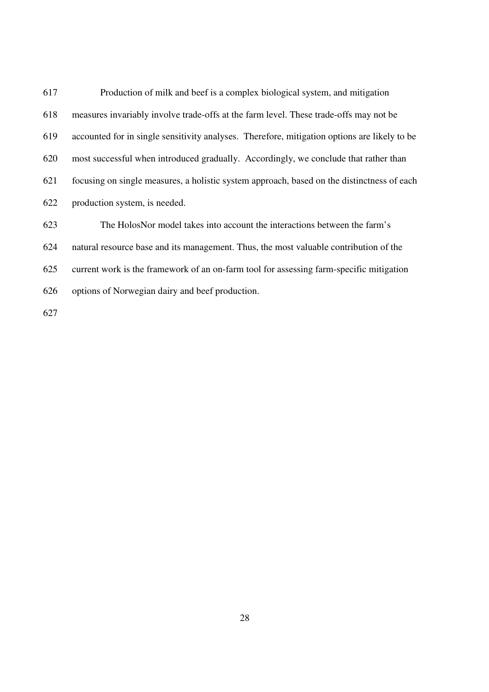617 Production of milk and beef is a complex biological system, and mitigation 618 measures invariably involve trade-offs at the farm level. These trade-offs may not be 619 accounted for in single sensitivity analyses. Therefore, mitigation options are likely to be 620 most successful when introduced gradually. Accordingly, we conclude that rather than 621 focusing on single measures, a holistic system approach, based on the distinctness of each 622 production system, is needed. 623 The HolosNor model takes into account the interactions between the farm's 624 natural resource base and its management. Thus, the most valuable contribution of the 625 current work is the framework of an on-farm tool for assessing farm-specific mitigation

626 options of Norwegian dairy and beef production.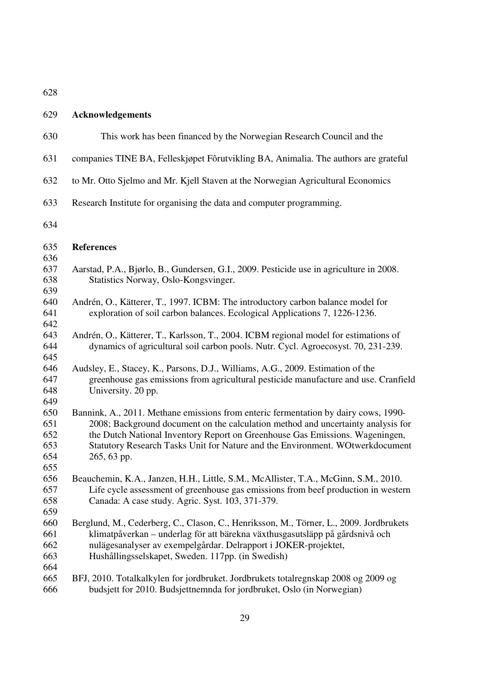# 629 **Acknowledgements**

| 630                                    | This work has been financed by the Norwegian Research Council and the                                                                                                                                                                                                                                                                                   |
|----------------------------------------|---------------------------------------------------------------------------------------------------------------------------------------------------------------------------------------------------------------------------------------------------------------------------------------------------------------------------------------------------------|
| 631                                    | companies TINE BA, Felleskjøpet Fôrutvikling BA, Animalia. The authors are grateful                                                                                                                                                                                                                                                                     |
| 632                                    | to Mr. Otto Sjelmo and Mr. Kjell Staven at the Norwegian Agricultural Economics                                                                                                                                                                                                                                                                         |
| 633                                    | Research Institute for organising the data and computer programming.                                                                                                                                                                                                                                                                                    |
| 634                                    |                                                                                                                                                                                                                                                                                                                                                         |
| 635<br>636                             | <b>References</b>                                                                                                                                                                                                                                                                                                                                       |
| 637<br>638<br>639                      | Aarstad, P.A., Bjørlo, B., Gundersen, G.I., 2009. Pesticide use in agriculture in 2008.<br>Statistics Norway, Oslo-Kongsvinger.                                                                                                                                                                                                                         |
| 640<br>641<br>642                      | Andrén, O., Kätterer, T., 1997. ICBM: The introductory carbon balance model for<br>exploration of soil carbon balances. Ecological Applications 7, 1226-1236.                                                                                                                                                                                           |
| 643<br>644<br>645                      | Andrén, O., Kätterer, T., Karlsson, T., 2004. ICBM regional model for estimations of<br>dynamics of agricultural soil carbon pools. Nutr. Cycl. Agroecosyst. 70, 231-239.                                                                                                                                                                               |
| 646<br>647<br>648<br>649               | Audsley, E., Stacey, K., Parsons, D.J., Williams, A.G., 2009. Estimation of the<br>greenhouse gas emissions from agricultural pesticide manufacture and use. Cranfield<br>University. 20 pp.                                                                                                                                                            |
| 650<br>651<br>652<br>653<br>654<br>655 | Bannink, A., 2011. Methane emissions from enteric fermentation by dairy cows, 1990-<br>2008; Background document on the calculation method and uncertainty analysis for<br>the Dutch National Inventory Report on Greenhouse Gas Emissions. Wageningen,<br>Statutory Research Tasks Unit for Nature and the Environment. WOtwerkdocument<br>265, 63 pp. |
| 656<br>657<br>658<br>659               | Beauchemin, K.A., Janzen, H.H., Little, S.M., McAllister, T.A., McGinn, S.M., 2010.<br>Life cycle assessment of greenhouse gas emissions from beef production in western<br>Canada: A case study. Agric. Syst. 103, 371-379.                                                                                                                            |
| 660<br>661<br>662<br>663               | Berglund, M., Cederberg, C., Clason, C., Henriksson, M., Törner, L., 2009. Jordbrukets<br>klimatpåverkan – underlag för att bärekna växthusgasutsläpp på gårdsnivå och<br>nulägesanalyser av exempelgårdar. Delrapport i JOKER-projektet,<br>Hushållingsselskapet, Sweden. 117pp. (in Swedish)                                                          |
| 664<br>665<br>666                      | BFJ, 2010. Totalkalkylen for jordbruket. Jordbrukets totalregnskap 2008 og 2009 og<br>budsjett for 2010. Budsjettnemnda for jordbruket, Oslo (in Norwegian)                                                                                                                                                                                             |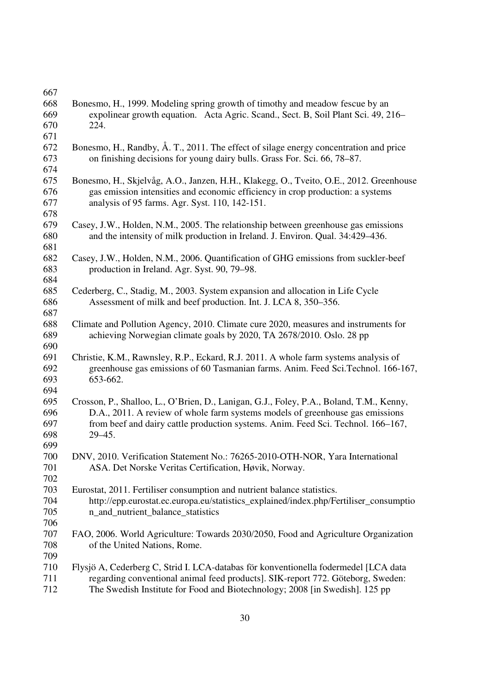| 667 |                                                                                         |
|-----|-----------------------------------------------------------------------------------------|
| 668 | Bonesmo, H., 1999. Modeling spring growth of timothy and meadow fescue by an            |
| 669 | expolinear growth equation. Acta Agric. Scand., Sect. B, Soil Plant Sci. 49, 216–       |
| 670 | 224.                                                                                    |
| 671 |                                                                                         |
| 672 | Bonesmo, H., Randby, Å. T., 2011. The effect of silage energy concentration and price   |
| 673 | on finishing decisions for young dairy bulls. Grass For. Sci. 66, 78–87.                |
| 674 |                                                                                         |
| 675 | Bonesmo, H., Skjelvåg, A.O., Janzen, H.H., Klakegg, O., Tveito, O.E., 2012. Greenhouse  |
| 676 | gas emission intensities and economic efficiency in crop production: a systems          |
| 677 | analysis of 95 farms. Agr. Syst. 110, 142-151.                                          |
| 678 |                                                                                         |
| 679 | Casey, J.W., Holden, N.M., 2005. The relationship between greenhouse gas emissions      |
| 680 | and the intensity of milk production in Ireland. J. Environ. Qual. 34:429–436.          |
| 681 |                                                                                         |
| 682 |                                                                                         |
| 683 | Casey, J.W., Holden, N.M., 2006. Quantification of GHG emissions from suckler-beef      |
| 684 | production in Ireland. Agr. Syst. 90, 79–98.                                            |
| 685 | Cederberg, C., Stadig, M., 2003. System expansion and allocation in Life Cycle          |
|     | Assessment of milk and beef production. Int. J. LCA 8, 350–356.                         |
| 686 |                                                                                         |
| 687 |                                                                                         |
| 688 | Climate and Pollution Agency, 2010. Climate cure 2020, measures and instruments for     |
| 689 | achieving Norwegian climate goals by 2020, TA 2678/2010. Oslo. 28 pp                    |
| 690 |                                                                                         |
| 691 | Christie, K.M., Rawnsley, R.P., Eckard, R.J. 2011. A whole farm systems analysis of     |
| 692 | greenhouse gas emissions of 60 Tasmanian farms. Anim. Feed Sci.Technol. 166-167,        |
| 693 | 653-662.                                                                                |
| 694 |                                                                                         |
| 695 | Crosson, P., Shalloo, L., O'Brien, D., Lanigan, G.J., Foley, P.A., Boland, T.M., Kenny, |
| 696 | D.A., 2011. A review of whole farm systems models of greenhouse gas emissions           |
| 697 | from beef and dairy cattle production systems. Anim. Feed Sci. Technol. 166-167,        |
| 698 | $29 - 45.$                                                                              |
| 699 |                                                                                         |
| 700 | DNV, 2010. Verification Statement No.: 76265-2010-OTH-NOR, Yara International           |
| 701 | ASA. Det Norske Veritas Certification, Høvik, Norway.                                   |
| 702 |                                                                                         |
| 703 | Eurostat, 2011. Fertiliser consumption and nutrient balance statistics.                 |
| 704 | http://epp.eurostat.ec.europa.eu/statistics_explained/index.php/Fertiliser_consumptio   |
| 705 | n_and_nutrient_balance_statistics                                                       |
| 706 |                                                                                         |
| 707 | FAO, 2006. World Agriculture: Towards 2030/2050, Food and Agriculture Organization      |
| 708 | of the United Nations, Rome.                                                            |
| 709 |                                                                                         |
| 710 | Flysjö A, Cederberg C, Strid I. LCA-databas för konventionella fodermedel [LCA data     |
| 711 | regarding conventional animal feed products]. SIK-report 772. Göteborg, Sweden:         |
| 712 | The Swedish Institute for Food and Biotechnology; 2008 [in Swedish]. 125 pp             |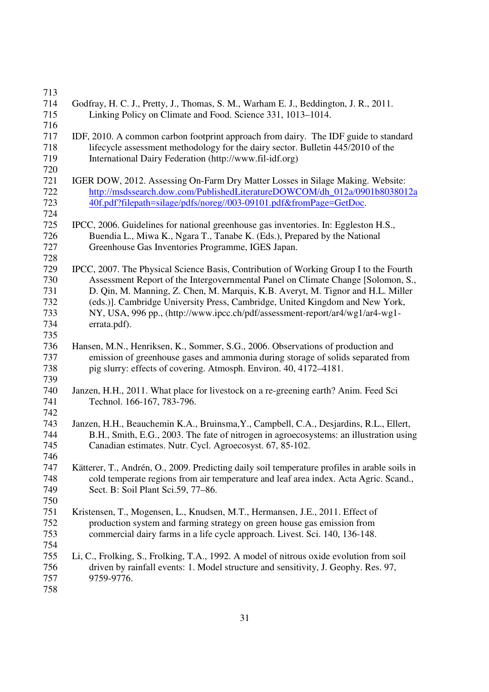| 713 |                                                                                               |
|-----|-----------------------------------------------------------------------------------------------|
| 714 | Godfray, H. C. J., Pretty, J., Thomas, S. M., Warham E. J., Beddington, J. R., 2011.          |
| 715 | Linking Policy on Climate and Food. Science 331, 1013–1014.                                   |
| 716 |                                                                                               |
| 717 | IDF, 2010. A common carbon footprint approach from dairy. The IDF guide to standard           |
| 718 | lifecycle assessment methodology for the dairy sector. Bulletin 445/2010 of the               |
| 719 | International Dairy Federation (http://www.fil-idf.org)                                       |
| 720 |                                                                                               |
| 721 | IGER DOW, 2012. Assessing On-Farm Dry Matter Losses in Silage Making. Website:                |
| 722 | http://msdssearch.dow.com/PublishedLiteratureDOWCOM/dh_012a/0901b8038012a                     |
| 723 | 40f.pdf?filepath=silage/pdfs/noreg//003-09101.pdf&fromPage=GetDoc.                            |
|     |                                                                                               |
| 724 |                                                                                               |
| 725 | IPCC, 2006. Guidelines for national greenhouse gas inventories. In: Eggleston H.S.,           |
| 726 | Buendia L., Miwa K., Ngara T., Tanabe K. (Eds.), Prepared by the National                     |
| 727 | Greenhouse Gas Inventories Programme, IGES Japan.                                             |
| 728 |                                                                                               |
| 729 | IPCC, 2007. The Physical Science Basis, Contribution of Working Group I to the Fourth         |
| 730 | Assessment Report of the Intergovernmental Panel on Climate Change [Solomon, S.,              |
| 731 | D. Qin, M. Manning, Z. Chen, M. Marquis, K.B. Averyt, M. Tignor and H.L. Miller               |
| 732 | (eds.)]. Cambridge University Press, Cambridge, United Kingdom and New York,                  |
| 733 | NY, USA, 996 pp., (http://www.ipcc.ch/pdf/assessment-report/ar4/wg1/ar4-wg1-                  |
| 734 | errata.pdf).                                                                                  |
| 735 |                                                                                               |
| 736 | Hansen, M.N., Henriksen, K., Sommer, S.G., 2006. Observations of production and               |
| 737 | emission of greenhouse gases and ammonia during storage of solids separated from              |
| 738 | pig slurry: effects of covering. Atmosph. Environ. 40, 4172–4181.                             |
| 739 |                                                                                               |
| 740 | Janzen, H.H., 2011. What place for livestock on a re-greening earth? Anim. Feed Sci           |
| 741 | Technol. 166-167, 783-796.                                                                    |
| 742 |                                                                                               |
| 743 | Janzen, H.H., Beauchemin K.A., Bruinsma, Y., Campbell, C.A., Desjardins, R.L., Ellert,        |
| 744 | B.H., Smith, E.G., 2003. The fate of nitrogen in agroecosystems: an illustration using        |
| 745 | Canadian estimates. Nutr. Cycl. Agroecosyst. 67, 85-102.                                      |
| 746 |                                                                                               |
| 747 | Kätterer, T., Andrén, O., 2009. Predicting daily soil temperature profiles in arable soils in |
| 748 | cold temperate regions from air temperature and leaf area index. Acta Agric. Scand.,          |
| 749 | Sect. B: Soil Plant Sci.59, 77-86.                                                            |
| 750 |                                                                                               |
| 751 | Kristensen, T., Mogensen, L., Knudsen, M.T., Hermansen, J.E., 2011. Effect of                 |
| 752 | production system and farming strategy on green house gas emission from                       |
| 753 | commercial dairy farms in a life cycle approach. Livest. Sci. 140, 136-148.                   |
| 754 |                                                                                               |
| 755 | Li, C., Frolking, S., Frolking, T.A., 1992. A model of nitrous oxide evolution from soil      |
| 756 | driven by rainfall events: 1. Model structure and sensitivity, J. Geophy. Res. 97,            |
| 757 | 9759-9776.                                                                                    |
| 758 |                                                                                               |
|     |                                                                                               |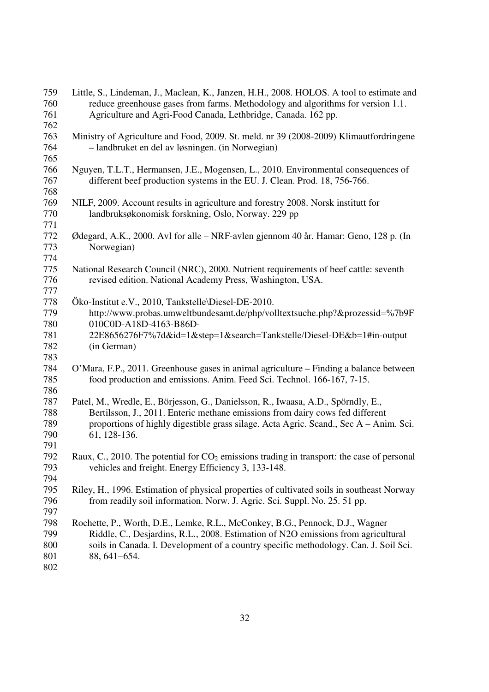| 759        | Little, S., Lindeman, J., Maclean, K., Janzen, H.H., 2008. HOLOS. A tool to estimate and                                                                                  |
|------------|---------------------------------------------------------------------------------------------------------------------------------------------------------------------------|
| 760        | reduce greenhouse gases from farms. Methodology and algorithms for version 1.1.                                                                                           |
| 761        | Agriculture and Agri-Food Canada, Lethbridge, Canada. 162 pp.                                                                                                             |
| 762        |                                                                                                                                                                           |
| 763        | Ministry of Agriculture and Food, 2009. St. meld. nr 39 (2008-2009) Klimautfordringene                                                                                    |
| 764        | - landbruket en del av løsningen. (in Norwegian)                                                                                                                          |
| 765        |                                                                                                                                                                           |
| 766        | Nguyen, T.L.T., Hermansen, J.E., Mogensen, L., 2010. Environmental consequences of                                                                                        |
| 767        | different beef production systems in the EU. J. Clean. Prod. 18, 756-766.                                                                                                 |
| 768        |                                                                                                                                                                           |
| 769        | NILF, 2009. Account results in agriculture and forestry 2008. Norsk institutt for                                                                                         |
| 770        | landbruksøkonomisk forskning, Oslo, Norway. 229 pp                                                                                                                        |
| 771        |                                                                                                                                                                           |
| 772        | Ødegard, A.K., 2000. Avl for alle – NRF-avlen gjennom 40 år. Hamar: Geno, 128 p. (In                                                                                      |
| 773        | Norwegian)                                                                                                                                                                |
| 774        |                                                                                                                                                                           |
| 775        | National Research Council (NRC), 2000. Nutrient requirements of beef cattle: seventh                                                                                      |
| 776        | revised edition. National Academy Press, Washington, USA.                                                                                                                 |
| 777        |                                                                                                                                                                           |
| 778        | Öko-Institut e.V., 2010, Tankstelle\Diesel-DE-2010.                                                                                                                       |
| 779        | http://www.probas.umweltbundesamt.de/php/volltextsuche.php?&prozessid=%7b9F                                                                                               |
| 780        | 010C0D-A18D-4163-B86D-                                                                                                                                                    |
| 781        | 22E8656276F7%7d&id=1&step=1&search=Tankstelle/Diesel-DE&b=1#in-output                                                                                                     |
| 782        | (in German)                                                                                                                                                               |
| 783        |                                                                                                                                                                           |
| 784        | O'Mara, F.P., 2011. Greenhouse gases in animal agriculture – Finding a balance between                                                                                    |
| 785        | food production and emissions. Anim. Feed Sci. Technol. 166-167, 7-15.                                                                                                    |
| 786        |                                                                                                                                                                           |
| 787        | Patel, M., Wredle, E., Börjesson, G., Danielsson, R., Iwaasa, A.D., Spörndly, E.,                                                                                         |
| 788        | Bertilsson, J., 2011. Enteric methane emissions from dairy cows fed different                                                                                             |
| 789        | proportions of highly digestible grass silage. Acta Agric. Scand., Sec A – Anim. Sci.                                                                                     |
| 790        | 61, 128-136.                                                                                                                                                              |
| 791        |                                                                                                                                                                           |
| 792        | Raux, C., 2010. The potential for CO <sub>2</sub> emissions trading in transport: the case of personal                                                                    |
| 793        | vehicles and freight. Energy Efficiency 3, 133-148.                                                                                                                       |
| 794        |                                                                                                                                                                           |
| 795        |                                                                                                                                                                           |
|            | Riley, H., 1996. Estimation of physical properties of cultivated soils in southeast Norway                                                                                |
| 796<br>797 | from readily soil information. Norw. J. Agric. Sci. Suppl. No. 25. 51 pp.                                                                                                 |
|            |                                                                                                                                                                           |
| 798<br>799 | Rochette, P., Worth, D.E., Lemke, R.L., McConkey, B.G., Pennock, D.J., Wagner                                                                                             |
| 800        | Riddle, C., Desjardins, R.L., 2008. Estimation of N2O emissions from agricultural<br>soils in Canada. I. Development of a country specific methodology. Can. J. Soil Sci. |
|            |                                                                                                                                                                           |
| 801        | 88, 641-654.                                                                                                                                                              |
| 802        |                                                                                                                                                                           |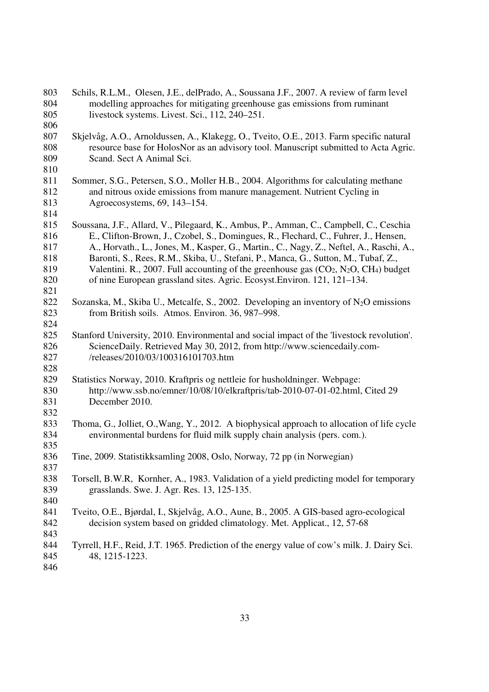| 803 | Schils, R.L.M., Olesen, J.E., delPrado, A., Soussana J.F., 2007. A review of farm level     |
|-----|---------------------------------------------------------------------------------------------|
| 804 | modelling approaches for mitigating greenhouse gas emissions from ruminant                  |
| 805 | livestock systems. Livest. Sci., 112, 240–251.                                              |
| 806 |                                                                                             |
| 807 | Skjelvåg, A.O., Arnoldussen, A., Klakegg, O., Tveito, O.E., 2013. Farm specific natural     |
| 808 | resource base for HolosNor as an advisory tool. Manuscript submitted to Acta Agric.         |
| 809 | Scand. Sect A Animal Sci.                                                                   |
| 810 |                                                                                             |
| 811 | Sommer, S.G., Petersen, S.O., Moller H.B., 2004. Algorithms for calculating methane         |
| 812 | and nitrous oxide emissions from manure management. Nutrient Cycling in                     |
| 813 | Agroecosystems, 69, 143-154.                                                                |
| 814 |                                                                                             |
| 815 | Soussana, J.F., Allard, V., Pilegaard, K., Ambus, P., Amman, C., Campbell, C., Ceschia      |
| 816 | E., Clifton-Brown, J., Czobel, S., Domingues, R., Flechard, C., Fuhrer, J., Hensen,         |
| 817 | A., Horvath., L., Jones, M., Kasper, G., Martin., C., Nagy, Z., Neftel, A., Raschi, A.,     |
| 818 | Baronti, S., Rees, R.M., Skiba, U., Stefani, P., Manca, G., Sutton, M., Tubaf, Z.,          |
| 819 | Valentini. R., 2007. Full accounting of the greenhouse gas $(CO_2, N_2O, CH_4)$ budget      |
| 820 | of nine European grassland sites. Agric. Ecosyst. Environ. 121, 121–134.                    |
| 821 |                                                                                             |
| 822 | Sozanska, M., Skiba U., Metcalfe, S., 2002. Developing an inventory of $N_2O$ emissions     |
| 823 | from British soils. Atmos. Environ. 36, 987-998.                                            |
| 824 |                                                                                             |
| 825 | Stanford University, 2010. Environmental and social impact of the 'livestock revolution'.   |
| 826 | ScienceDaily. Retrieved May 30, 2012, from http://www.sciencedaily.com-                     |
| 827 | /releases/2010/03/100316101703.htm                                                          |
| 828 |                                                                                             |
| 829 | Statistics Norway, 2010. Kraftpris og nettleie for husholdninger. Webpage:                  |
| 830 | http://www.ssb.no/emner/10/08/10/elkraftpris/tab-2010-07-01-02.html, Cited 29               |
| 831 | December 2010.                                                                              |
| 832 |                                                                                             |
| 833 | Thoma, G., Jolliet, O., Wang, Y., 2012. A biophysical approach to allocation of life cycle  |
| 834 | environmental burdens for fluid milk supply chain analysis (pers. com.).                    |
| 835 |                                                                                             |
| 836 | Tine, 2009. Statistikksamling 2008, Oslo, Norway, 72 pp (in Norwegian)                      |
| 837 |                                                                                             |
| 838 | Torsell, B.W.R, Kornher, A., 1983. Validation of a yield predicting model for temporary     |
| 839 | grasslands. Swe. J. Agr. Res. 13, 125-135.                                                  |
| 840 |                                                                                             |
| 841 | Tveito, O.E., Bjørdal, I., Skjelvåg, A.O., Aune, B., 2005. A GIS-based agro-ecological      |
| 842 | decision system based on gridded climatology. Met. Applicat., 12, 57-68                     |
| 843 |                                                                                             |
| 844 | Tyrrell, H.F., Reid, J.T. 1965. Prediction of the energy value of cow's milk. J. Dairy Sci. |
| 845 | 48, 1215-1223.                                                                              |
| 846 |                                                                                             |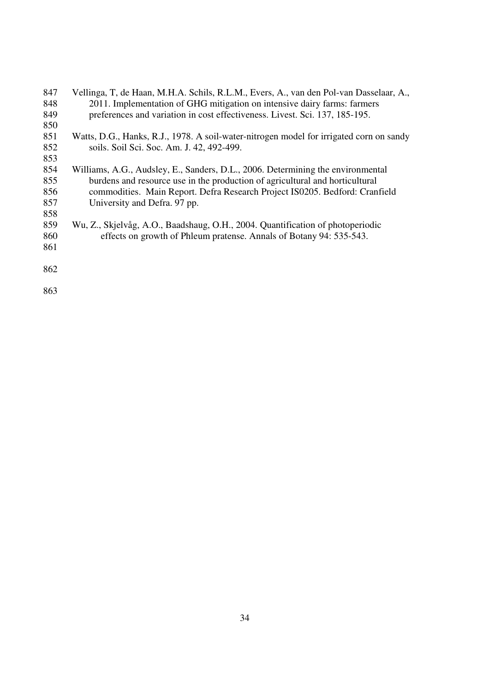| 847 | Vellinga, T, de Haan, M.H.A. Schils, R.L.M., Evers, A., van den Pol-van Dasselaar, A.,  |
|-----|-----------------------------------------------------------------------------------------|
| 848 | 2011. Implementation of GHG mitigation on intensive dairy farms: farmers                |
| 849 | preferences and variation in cost effectiveness. Livest. Sci. 137, 185-195.             |
| 850 |                                                                                         |
| 851 | Watts, D.G., Hanks, R.J., 1978. A soil-water-nitrogen model for irrigated corn on sandy |
| 852 | soils. Soil Sci. Soc. Am. J. 42, 492-499.                                               |
| 853 |                                                                                         |
| 854 | Williams, A.G., Audsley, E., Sanders, D.L., 2006. Determining the environmental         |
| 855 | burdens and resource use in the production of agricultural and horticultural            |
| 856 | commodities. Main Report. Defra Research Project IS0205. Bedford: Cranfield             |
| 857 | University and Defra. 97 pp.                                                            |
| 858 |                                                                                         |
| 859 | Wu, Z., Skjelvåg, A.O., Baadshaug, O.H., 2004. Quantification of photoperiodic          |
| 860 | effects on growth of Phleum pratense. Annals of Botany 94: 535-543.                     |
| 861 |                                                                                         |
| 862 |                                                                                         |
|     |                                                                                         |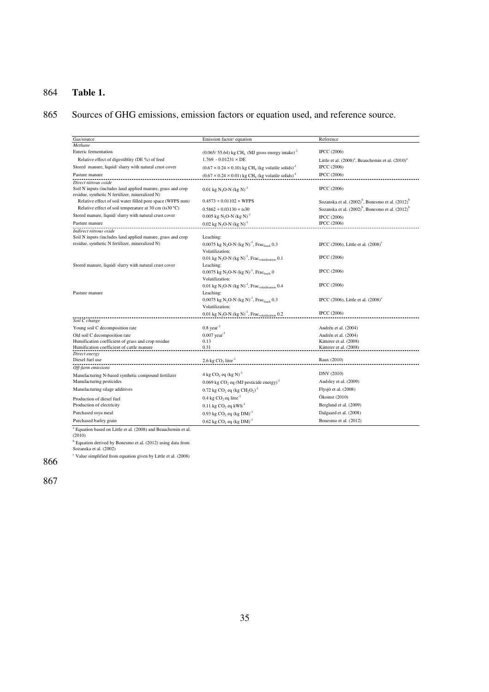## 864 **Table 1.**

# 865 Sources of GHG emissions, emission factors or equation used, and reference source.

| Gas/source                                                                                                   | Emission factor/equation                                                                   | Reference                                                                 |  |
|--------------------------------------------------------------------------------------------------------------|--------------------------------------------------------------------------------------------|---------------------------------------------------------------------------|--|
| Methane                                                                                                      |                                                                                            |                                                                           |  |
| Enteric fermentation                                                                                         | $(0.065/ 55.64)$ kg CH <sub>4</sub> (MJ gross energy intake) <sup>-1</sup>                 | <b>IPCC</b> (2006)                                                        |  |
| Relative effect of digestiblity (DE %) of feed                                                               | $1.769 - 0.01231 \times DE$                                                                | Little et al. (2008) <sup>a</sup> , Beauchemin et al. (2010) <sup>a</sup> |  |
| Stored manure, liquid/ slurry with natural crust cover                                                       | $(0.67 \times 0.24 \times 0.10)$ kg CH <sub>4</sub> (kg volatile solids) <sup>-1</sup>     | <b>IPCC</b> (2006)                                                        |  |
| Pasture manure                                                                                               | $(0.67 \times 0.24 \times 0.01)$ kg CH <sub>4</sub> (kg volatile solids) <sup>-1</sup>     | <b>IPCC</b> (2006)                                                        |  |
| Direct nitrous oxide                                                                                         |                                                                                            |                                                                           |  |
| Soil N inputs (includes land applied manure, grass and crop                                                  | 0.01 kg N <sub>2</sub> O-N (kg N) <sup>-1</sup>                                            | <b>IPCC</b> (2006)                                                        |  |
| residue, synthetic N fertilizer, mineralized N)<br>Relative effect of soil water filled pore space (WFPS mm) | $0.4573 + 0.01102 \times WFPS$                                                             | Sozanska et al. (2002) <sup>b</sup> , Bonesmo et al. (2012) <sup>b</sup>  |  |
| Relative effect of soil temperature at 30 cm (ts30 °C)                                                       | $0.5862 + 0.03130 \times$ ts30                                                             | Sozanska et al. (2002) <sup>b</sup> , Bonesmo et al. (2012) <sup>b</sup>  |  |
| Stored manure, liquid/ slurry with natural crust cover                                                       | 0.005 kg N <sub>2</sub> O-N (kg N) <sup>-1</sup>                                           | <b>IPCC</b> (2006)                                                        |  |
| Pasture manure                                                                                               | $0.02$ kg N <sub>2</sub> O-N (kg N) <sup>-1</sup>                                          | <b>IPCC</b> (2006)                                                        |  |
| Indirect nitrous oxide                                                                                       |                                                                                            |                                                                           |  |
| Soil N inputs (includes land applied manure, grass and crop                                                  | Leaching:                                                                                  |                                                                           |  |
| residue, synthetic N fertilizer, mineralized N)                                                              | 0.0075 kg N <sub>2</sub> O-N (kg N) <sup>-1</sup> , Frac <sub>leach</sub> 0.3              | IPCC (2006), Little et al. (2008) <sup>c</sup>                            |  |
|                                                                                                              | Volatilization:                                                                            |                                                                           |  |
|                                                                                                              | 0.01 kg N <sub>2</sub> O-N (kg N) <sup>-1</sup> , Frac <sub>volatilization</sub> 0.1       | <b>IPCC</b> (2006)                                                        |  |
| Stored manure, liquid/slurry with natural crust cover                                                        | Leaching:                                                                                  |                                                                           |  |
|                                                                                                              | 0.0075 kg N <sub>2</sub> O-N (kg N) <sup>-1</sup> , Frac <sub>leach</sub> 0                | <b>IPCC</b> (2006)                                                        |  |
|                                                                                                              | Volatilization:                                                                            |                                                                           |  |
|                                                                                                              | 0.01 kg N <sub>2</sub> O-N (kg N) <sup>-1</sup> , Frac <sub>volatilization</sub> 0.4       | <b>IPCC</b> (2006)                                                        |  |
| Pasture manure                                                                                               | Leaching:<br>0.0075 kg N <sub>2</sub> O-N (kg N) <sup>-1</sup> , Frac <sub>leach</sub> 0.3 |                                                                           |  |
|                                                                                                              | Volatilization:                                                                            | IPCC (2006), Little et al. $(2008)^c$                                     |  |
|                                                                                                              | 0.01 kg N <sub>2</sub> O-N (kg N) <sup>-1</sup> , Frac <sub>volatilization</sub> 0.2       | <b>IPCC</b> (2006)                                                        |  |
| Soil C change                                                                                                |                                                                                            |                                                                           |  |
| Young soil C decomposition rate                                                                              | $0.8$ year <sup>-1</sup>                                                                   | Andrén et al. (2004)                                                      |  |
| Old soil C decomposition rate                                                                                | $0.007$ year <sup>-1</sup>                                                                 | Andrén et al. (2004)                                                      |  |
| Humification coefficient of grass and crop residue                                                           | 0.13                                                                                       | Kätterer et al. (2008)                                                    |  |
| Humification coefficient of cattle manure                                                                    | 0.31                                                                                       | Kätterer et al. (2008)                                                    |  |
| Direct energy                                                                                                |                                                                                            |                                                                           |  |
| Diesel fuel use                                                                                              | 2.6 kg $CO2$ litre <sup>-1</sup>                                                           | Raux (2010)                                                               |  |
| Off-farm emissions                                                                                           |                                                                                            | DNV (2010)                                                                |  |
| Manufacturing N-based synthetic compound fertilizer                                                          | $4 \text{ kg CO}$ , eq $\text{(kg N)}^{-1}$                                                |                                                                           |  |
| Manufacturing pesticides                                                                                     | $0.069$ kg CO <sub>2</sub> eq (MJ pesticide energy) <sup>-1</sup>                          | Audsley et al. (2009)                                                     |  |
| Manufacturing silage additives                                                                               | $0.72$ kg CO <sub>2</sub> eq (kg CH <sub>2</sub> O <sub>2</sub> ) <sup>-1</sup>            | Flysjö et al. (2008)                                                      |  |
| Production of diesel fuel                                                                                    | $0.4 \text{ kg CO}_2$ eq litre <sup>-1</sup>                                               | Ökoinst (2010)                                                            |  |
| Production of electricity                                                                                    | $0.11$ kg CO <sub>2</sub> eq kWh <sup>-1</sup>                                             | Berglund et al. (2009)                                                    |  |
| Purchased soya meal                                                                                          | $0.93$ kg CO <sub>2</sub> eq (kg DM) <sup>-1</sup>                                         | Dalgaard et al. (2008)                                                    |  |
| Purchased barley grain                                                                                       | $0.62$ kg CO <sub>2</sub> eq (kg DM) <sup>-1</sup>                                         | Bonesmo et al. (2012)                                                     |  |

Purchased barley grain **10.62 kg CO<sub>2</sub>**<br>
<sup>a</sup> Equation based on Little et al. (2008) and Beauchemin et al. (2010)<br>
<sup>9</sup> Equation derived by Bonesmo et al. (2012) using data from<br>
<sup>8</sup> Equation derived by Bonesmo et al. (2012)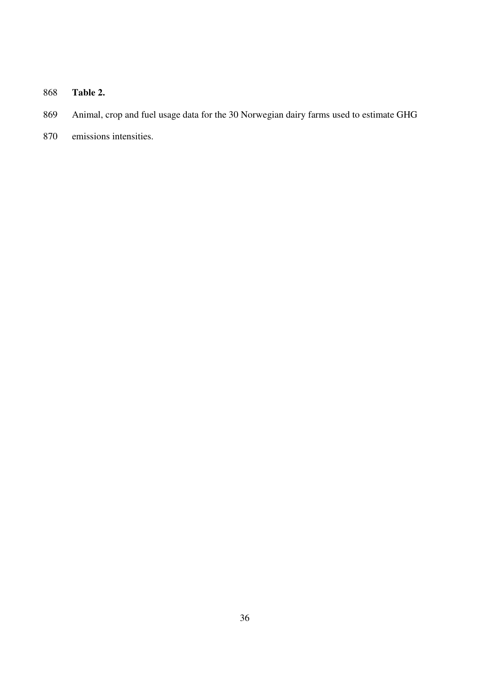# 868 **Table 2.**

- 869 Animal, crop and fuel usage data for the 30 Norwegian dairy farms used to estimate GHG
- 870 emissions intensities.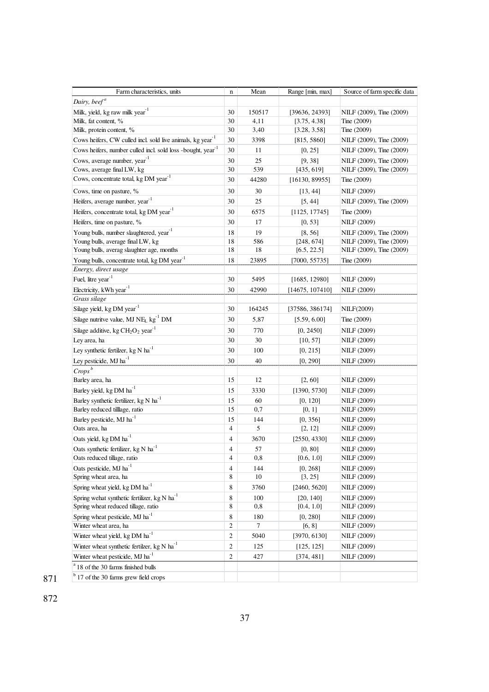| Farm characteristics, units                                             | $\bf n$                       | Mean       | Range [min, max]          | Source of farm specific data |
|-------------------------------------------------------------------------|-------------------------------|------------|---------------------------|------------------------------|
| Dairy, beef <sup>a</sup>                                                |                               |            |                           |                              |
| Milk, yield, kg raw milk year <sup>-1</sup>                             | 30                            | 150517     | [39636, 24393]            | NILF (2009), Tine (2009)     |
| Milk, fat content, %                                                    | 30                            | 4,11       | [3.75, 4.38]              | Tine (2009)                  |
| Milk, protein content, %                                                | $30\,$                        | 3,40       | [3.28, 3.58]              | Tine (2009)                  |
| Cows heifers, CW culled incl. sold live animals, kg year <sup>-1</sup>  | 30                            | 3398       | [815, 5860]               | NILF (2009), Tine (2009)     |
| Cows heifers, number culled incl. sold loss -bought, year <sup>-1</sup> | $30\,$                        | 11         | [0, 25]                   | NILF (2009), Tine (2009)     |
| Cows, average number, year <sup>-1</sup>                                | 30                            | 25         | [9, 38]                   | NILF (2009), Tine (2009)     |
| Cows, average final LW, kg                                              | $30\,$                        | 539        | [435, 619]                | NILF (2009), Tine (2009)     |
| Cows, concentrate total, kg DM year <sup>-1</sup>                       | 30                            | 44280      | [16130, 89955]            | Tine (2009)                  |
| Cows, time on pasture, %                                                | $30\,$                        | 30         | [13, 44]                  | NILF (2009)                  |
| Heifers, average number, year <sup>-1</sup>                             | 30                            | 25         | [5, 44]                   | NILF (2009), Tine (2009)     |
| Heifers, concentrate total, kg DM year <sup>-1</sup>                    | 30                            | 6575       | [1125, 17745]             | Tine (2009)                  |
| Heifers, time on pasture, %                                             | 30                            | 17         | [0, 53]                   | NILF (2009)                  |
| Young bulls, number slaughtered, year <sup>-1</sup>                     | 18                            | 19         | [8, 56]                   | NILF (2009), Tine (2009)     |
| Young bulls, average final LW, kg                                       | 18                            | 586        | [248, 674]                | NILF (2009), Tine (2009)     |
| Young bulls, averag slaughter age, months                               | 18                            | 18         | [6.5, 22.5]               | NILF (2009), Tine (2009)     |
| Young bulls, concentrate total, kg DM year <sup>-1</sup>                | 18                            | 23895      | [7000, 55735]             | Tine (2009)                  |
| Energy, direct usage<br>Fuel, litre year <sup>-1</sup>                  |                               |            |                           |                              |
|                                                                         | 30                            | 5495       | [1685, 12980]             | NILF (2009)                  |
| Electricity, kWh year <sup>-1</sup><br>Grass silage                     | 30                            | 42990      | [14675, 107410]           | NILF (2009)                  |
| Silage yield, kg DM year <sup>1</sup>                                   | 30                            |            |                           |                              |
|                                                                         |                               | 164245     | [37586, 386174]           | NILF(2009)                   |
| Silage nutritve value, MJ NE <sub>L</sub> kg <sup>-1</sup> DM           | $30\,$                        | 5,87       | [5.59, 6.00]              | Tine (2009)                  |
| Silage additive, kg $CH2O2 year-1$                                      | 30                            | 770        | [0, 2450]                 | NILF (2009)                  |
| Ley area, ha                                                            | 30                            | 30         | [10, 57]                  | NILF (2009)                  |
| Ley synthetic fertilzer, kg $N$ ha <sup>-1</sup>                        | 30                            | 100        | [0, 215]                  | NILF (2009)                  |
| Ley pesticide, MJ ha <sup>-1</sup>                                      | 30                            | 40         | [0, 290]                  | NILF (2009)                  |
| $Crops^b$                                                               |                               |            |                           |                              |
| Barley area, ha                                                         | 15                            | 12         | [2, 60]                   | NILF (2009)                  |
| Barley yield, kg DM ha <sup>-1</sup>                                    | 15                            | 3330       | [1390, 5730]              | NILF (2009)                  |
| Barley synthetic fertilizer, kg N ha <sup>-1</sup>                      | 15                            | 60         | [0, 120]                  | NILF (2009)                  |
| Barley reduced tilllage, ratio                                          | 15                            | 0,7        | [0, 1]                    | NILF (2009)                  |
| Barley pesticide, MJ ha <sup>-1</sup>                                   | 15                            | 144        | [0, 356]                  | NILF (2009)                  |
| Oats area, ha                                                           | $\overline{4}$                | 5          | [2, 12]                   | NILF (2009)                  |
| Oats yield, kg DM ha <sup>-1</sup>                                      | 4                             | 3670       | [2550, 4330]              | NILF (2009)                  |
| Oats synthetic fertilizer, kg N ha <sup>-1</sup>                        | 4                             | 57         | [0, 80]                   | NILF (2009)                  |
| Oats reduced tillage, ratio<br>Oats pesticide, MJ ha <sup>-1</sup>      | 4                             | 0,8        | [0.6, 1.0]                | NILF (2009)                  |
| Spring wheat area, ha                                                   | $\overline{\mathcal{L}}$<br>8 | 144<br>10  | [0, 268]                  | NILF (2009)                  |
| Spring wheat yield, kg DM ha <sup>-1</sup>                              | 8                             |            | [3, 25]                   | NILF (2009)                  |
| Spring we hat synthetic fertilizer, $kg N h a^{-1}$                     |                               | 3760       | [2460, 5620]<br>[20, 140] | NILF (2009)<br>NILF (2009)   |
| Spring wheat reduced tillage, ratio                                     | 8<br>8                        | 100<br>0,8 | [0.4, 1.0]                | NILF (2009)                  |
| Spring wheat pesticide, MJ ha <sup>-1</sup>                             | 8                             | 180        | [0, 280]                  | NILF (2009)                  |
| Winter wheat area, ha                                                   | 2                             | 7          | [6, 8]                    | NILF (2009)                  |
| Winter wheat yield, kg DM ha <sup>-1</sup>                              | $\mathbf{2}$                  | 5040       | [3970, 6130]              | NILF (2009)                  |
| Winter wheat synthetic fertilzer, kg N $ha^{-1}$                        | $\overline{c}$                | 125        | [125, 125]                | NILF (2009)                  |
| Winter wheat pesticide, MJ ha <sup>-1</sup>                             | $\overline{c}$                | 427        | [374, 481]                | NILF (2009)                  |
|                                                                         |                               |            |                           |                              |
| 18 of the 30 farms finished bulls                                       |                               |            |                           |                              |
| <sup>b</sup> 17 of the 30 farms grew field crops                        |                               |            |                           |                              |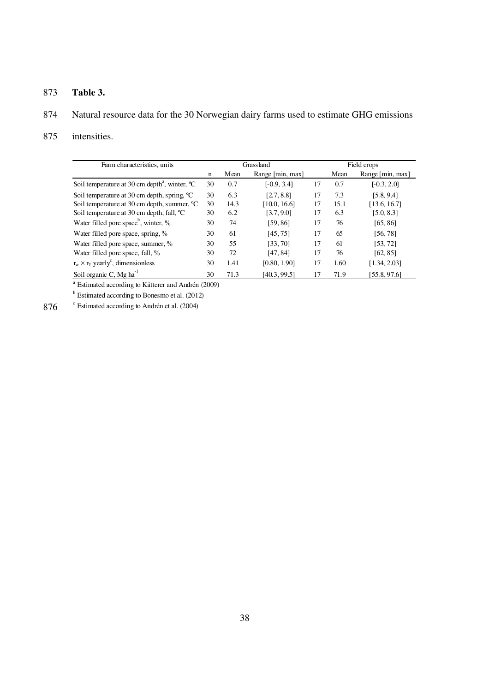## 873 **Table 3.**

# 874 Natural resource data for the 30 Norwegian dairy farms used to estimate GHG emissions

### 875 intensities.

| Farm characteristics, units                                        |    |      | Grassland        | Field crops |      |                  |
|--------------------------------------------------------------------|----|------|------------------|-------------|------|------------------|
|                                                                    | n  | Mean | Range [min, max] |             | Mean | Range [min, max] |
| Soil temperature at 30 cm depth <sup>4</sup> , winter, $^{\circ}C$ | 30 | 0.7  | $[-0.9, 3.4]$    | 17          | 0.7  | $[-0.3, 2.0]$    |
| Soil temperature at 30 cm depth, spring, °C                        | 30 | 6.3  | [2.7, 8.8]       | 17          | 7.3  | [5.8, 9.4]       |
| Soil temperature at 30 cm depth, summer, °C                        | 30 | 14.3 | [10.0, 16.6]     | 17          | 15.1 | [13.6, 16.7]     |
| Soil temperature at 30 cm depth, fall, <sup>o</sup> C              | 30 | 6.2  | [3.7, 9.0]       | 17          | 6.3  | [5.0, 8.3]       |
| Water filled pore space <sup>b</sup> , winter, %                   | 30 | 74   | [59,86]          | 17          | 76   | [65, 86]         |
| Water filled pore space, spring, %                                 | 30 | 61   | [45, 75]         | 17          | 65   | [56, 78]         |
| Water filled pore space, summer, %                                 | 30 | 55   | [33,70]          | 17          | 61   | [53, 72]         |
| Water filled pore space, fall, %                                   | 30 | 72   | [47, 84]         | 17          | 76   | [62, 85]         |
| $r_w \times r_T$ yearly <sup>c</sup> , dimensionless               | 30 | 1.41 | [0.80, 1.90]     | 17          | 1.60 | [1.34, 2.03]     |
| Soil organic C, Mg ha <sup>1</sup>                                 | 30 | 71.3 | [40.3, 99.5]     | 17          | 71.9 | [55.8, 97.6]     |

<sup>a</sup> Estimated according to Kätterer and Andrén (2009)

<sup>b</sup> Estimated according to Bonesmo et al. (2012)<sup>c</sup> Estimated according to Andrén et al. (2004)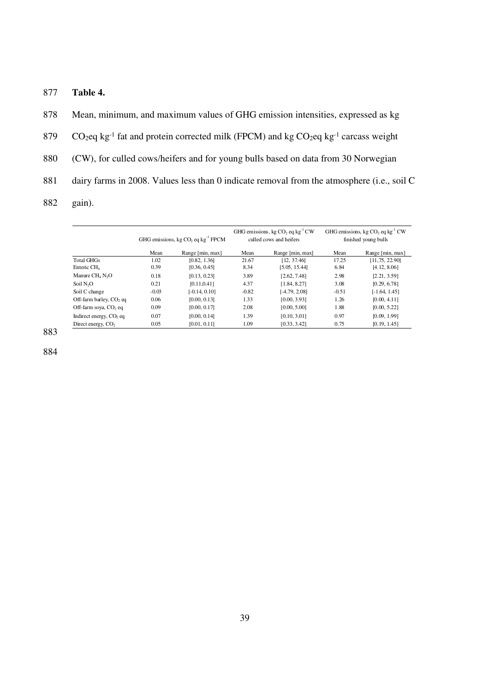877 **Table 4.** 

878 Mean, minimum, and maximum values of GHG emission intensities, expressed as kg  $CO<sub>2</sub>$ eq kg<sup>-1</sup> fat and protein corrected milk (FPCM) and kg  $CO<sub>2</sub>$ eq kg<sup>-1</sup> carcass weight 880 (CW), for culled cows/heifers and for young bulls based on data from 30 Norwegian 881 dairy farms in 2008. Values less than 0 indicate removal from the atmosphere (i.e., soil C 882 gain).

|                                     | GHG emissions, kg CO <sub>2</sub> eq kg <sup>-1</sup> FPCM |                  | GHG emissions, kg $CO_2$ eq kg <sup>-1</sup> CW<br>culled cows and heifers |                  | GHG emissions, kg $CO_2$ eq kg <sup>-1</sup> CW<br>finished young bulls |                  |
|-------------------------------------|------------------------------------------------------------|------------------|----------------------------------------------------------------------------|------------------|-------------------------------------------------------------------------|------------------|
|                                     | Mean                                                       | Range [min, max] | Mean                                                                       | Range [min, max] | Mean                                                                    | Range [min, max] |
| <b>Total GHGs</b>                   | 1.02                                                       | [0.82, 1.36]     | 21.67                                                                      | [12, 37, 46]     | 17.25                                                                   | [11, 75, 22.90]  |
| Enteric CH <sub>1</sub>             | 0.39                                                       | [0.36, 0.45]     | 8.34                                                                       | [5.05, 15.44]    | 6.84                                                                    | [4.12, 8.06]     |
| Manure $CH4 N2O$                    | 0.18                                                       | [0.13, 0.23]     | 3.89                                                                       | [2.62, 7.48]     | 2.98                                                                    | [2.21, 3.59]     |
| Soil N <sub>2</sub> O               | 0.21                                                       | [0.11, 0.41]     | 4.37                                                                       | [1.84, 8.27]     | 3.08                                                                    | [0.29, 6.78]     |
| Soil C change                       | $-0.03$                                                    | $[-0.14, 0.10]$  | $-0.82$                                                                    | [-4.79, 2.08]    | $-0.51$                                                                 | $[-1.64, 1.45]$  |
| Off-farm barley, $CO2$ eq           | 0.06                                                       | [0.00, 0.13]     | 1.33                                                                       | [0.00, 3.93]     | 1.26                                                                    | [0.00, 4.11]     |
| Off-farm soya, CO <sub>2</sub> eq   | 0.09                                                       | [0.00, 0.17]     | 2.08                                                                       | [0.00, 5.00]     | 1.88                                                                    | [0.00, 5.22]     |
| Indirect energy, CO <sub>2</sub> eq | 0.07                                                       | [0.00, 0.14]     | 1.39                                                                       | [0.10, 3.01]     | 0.97                                                                    | [0.09, 1.99]     |
| Direct energy, CO <sub>2</sub>      | 0.05                                                       | [0.01, 0.11]     | 1.09                                                                       | [0.33, 3.42]     | 0.75                                                                    | [0.19, 1.45]     |

883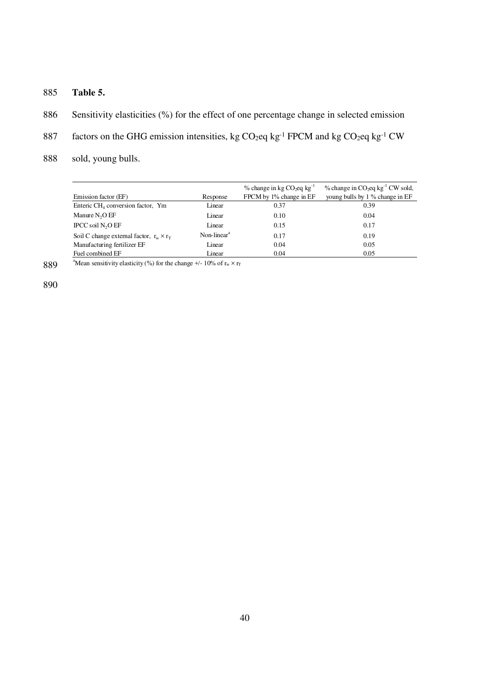- 885 **Table 5.**
- 886 Sensitivity elasticities (%) for the effect of one percentage change in selected emission
- 887 factors on the GHG emission intensities, kg CO<sub>2</sub>eq kg<sup>-1</sup> FPCM and kg CO<sub>2</sub>eq kg<sup>-1</sup> CW
- 888 sold, young bulls.

|                                                 |                | $\%$ change in kg CO <sub>2</sub> eq kg <sup>-1</sup> | $%$ change in CO <sub>2</sub> eq kg <sup>-1</sup> CW sold, |
|-------------------------------------------------|----------------|-------------------------------------------------------|------------------------------------------------------------|
| Emission factor (EF)                            | Response       | FPCM by 1% change in EF                               | young bulls by 1 % change in EF                            |
| Enteric $CH4$ conversion factor, Ym             | Linear         | 0.37                                                  | 0.39                                                       |
| Manure $N_2O$ EF                                | Linear         | 0.10                                                  | 0.04                                                       |
| IPCC soil N <sub>2</sub> O EF                   | Linear         | 0.15                                                  | 0.17                                                       |
| Soil C change external factor, $r_w \times r_T$ | Non-linear $a$ | 0.17                                                  | 0.19                                                       |
| Manufacturing fertilizer EF                     | Linear         | 0.04                                                  | 0.05                                                       |
| Fuel combined EF                                | Linear         | 0.04                                                  | 0.05                                                       |

889  $^{\circ}$  Mean sensitivity elasticity (%) for the change +/- 10% of r<sub>w</sub> × r<sub>T</sub>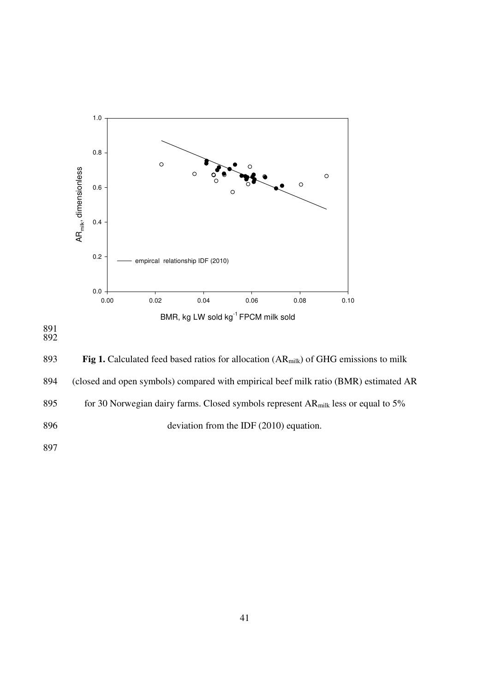

891 892

893 **Fig 1.** Calculated feed based ratios for allocation (AR<sub>milk</sub>) of GHG emissions to milk 894 (closed and open symbols) compared with empirical beef milk ratio (BMR) estimated AR 895 for 30 Norwegian dairy farms. Closed symbols represent  $AR<sub>milk</sub>$  less or equal to 5% 896 deviation from the IDF (2010) equation. 897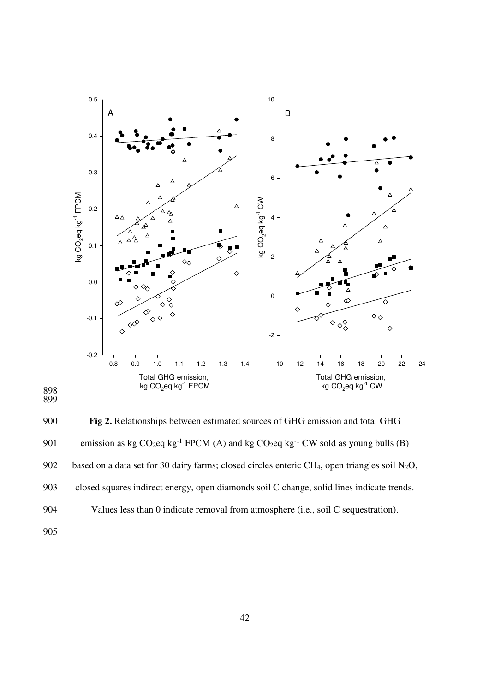



900 **Fig 2.** Relationships between estimated sources of GHG emission and total GHG 901 emission as kg  $CO_2$ eq kg<sup>-1</sup> FPCM (A) and kg  $CO_2$ eq kg<sup>-1</sup> CW sold as young bulls (B) 902 based on a data set for 30 dairy farms; closed circles enteric CH<sub>4</sub>, open triangles soil N<sub>2</sub>O, 903 closed squares indirect energy, open diamonds soil C change, solid lines indicate trends. 904 Values less than 0 indicate removal from atmosphere (i.e., soil C sequestration).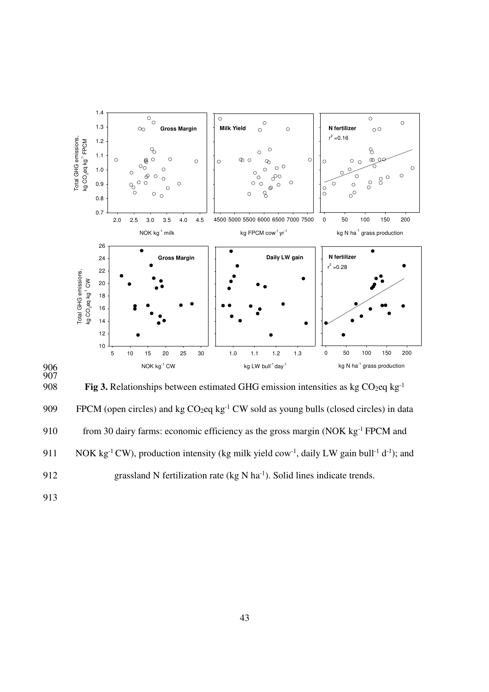

906 907

**Fig 3.** Relationships between estimated GHG emission intensities as kg  $CO_2$ eq kg<sup>-1</sup>

909 FPCM (open circles) and kg  $CO_2$ eq kg<sup>-1</sup> CW sold as young bulls (closed circles) in data 910 from 30 dairy farms: economic efficiency as the gross margin (NOK  $kg^{-1}$  FPCM and 911 NOK kg<sup>-1</sup> CW), production intensity (kg milk yield cow<sup>-1</sup>, daily LW gain bull<sup>-1</sup> d<sup>-1</sup>); and 912 grassland N fertilization rate  $(kg N ha^{-1})$ . Solid lines indicate trends.